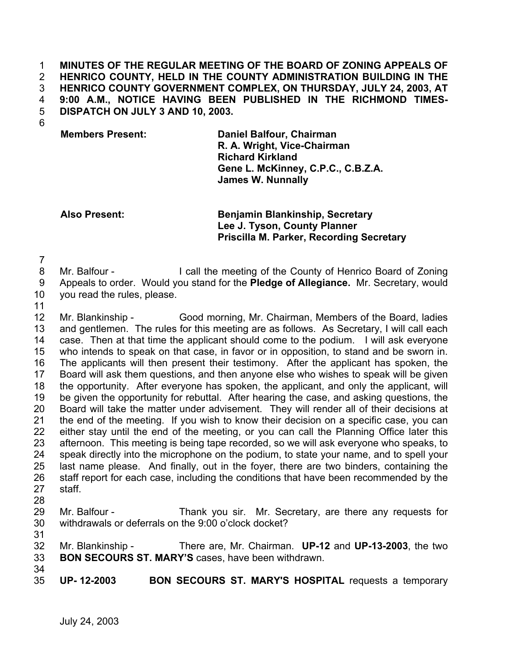**MINUTES OF THE REGULAR MEETING OF THE BOARD OF ZONING APPEALS OF HENRICO COUNTY, HELD IN THE COUNTY ADMINISTRATION BUILDING IN THE HENRICO COUNTY GOVERNMENT COMPLEX, ON THURSDAY, JULY 24, 2003, AT 9:00 A.M., NOTICE HAVING BEEN PUBLISHED IN THE RICHMOND TIMES-DISPATCH ON JULY 3 AND 10, 2003.**  1 2 3 4 5

6

**Members Present: Daniel Balfour, Chairman R. A. Wright, Vice-Chairman Richard Kirkland Gene L. McKinney, C.P.C., C.B.Z.A. James W. Nunnally**

**Also Present: Benjamin Blankinship, Secretary Lee J. Tyson, County Planner Priscilla M. Parker, Recording Secretary**

7

- 8 Mr. Balfour - I call the meeting of the County of Henrico Board of Zoning
- 9 Appeals to order. Would you stand for the **Pledge of Allegiance.** Mr. Secretary, would
- 10 you read the rules, please.
- 11

12 13 14 15 16 17 18 19 20 21 22 23 24 25 26 27 28 Mr. Blankinship - Good morning, Mr. Chairman, Members of the Board, ladies and gentlemen. The rules for this meeting are as follows. As Secretary, I will call each case. Then at that time the applicant should come to the podium. I will ask everyone who intends to speak on that case, in favor or in opposition, to stand and be sworn in. The applicants will then present their testimony. After the applicant has spoken, the Board will ask them questions, and then anyone else who wishes to speak will be given the opportunity. After everyone has spoken, the applicant, and only the applicant, will be given the opportunity for rebuttal. After hearing the case, and asking questions, the Board will take the matter under advisement. They will render all of their decisions at the end of the meeting. If you wish to know their decision on a specific case, you can either stay until the end of the meeting, or you can call the Planning Office later this afternoon. This meeting is being tape recorded, so we will ask everyone who speaks, to speak directly into the microphone on the podium, to state your name, and to spell your last name please. And finally, out in the foyer, there are two binders, containing the staff report for each case, including the conditions that have been recommended by the staff.

- 29 30 Mr. Balfour - Thank you sir. Mr. Secretary, are there any requests for withdrawals or deferrals on the 9:00 o'clock docket?
- 31
- 32 33 Mr. Blankinship - There are, Mr. Chairman. **UP-12** and **UP-13-2003**, the two **BON SECOURS ST. MARY'S** cases, have been withdrawn.
- 34 35

**UP- 12-2003 BON SECOURS ST. MARY'S HOSPITAL** requests a temporary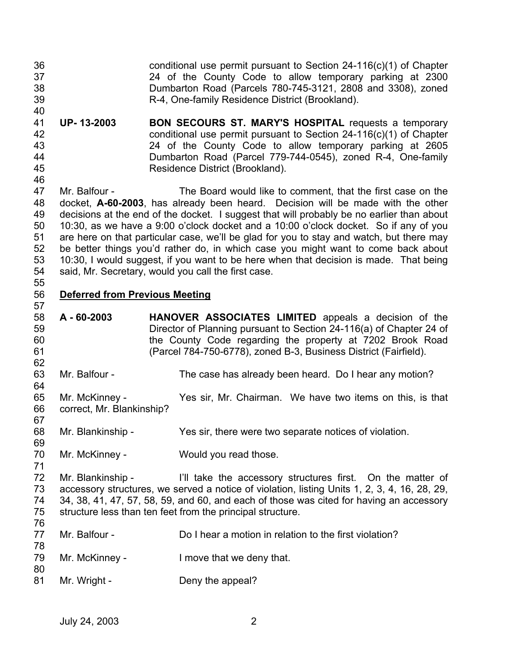- 36 37 38 39 40 conditional use permit pursuant to Section 24-116(c)(1) of Chapter 24 of the County Code to allow temporary parking at 2300 Dumbarton Road (Parcels 780-745-3121, 2808 and 3308), zoned R-4, One-family Residence District (Brookland).
- 41 42 43 44 45 **UP- 13-2003 BON SECOURS ST. MARY'S HOSPITAL** requests a temporary conditional use permit pursuant to Section 24-116(c)(1) of Chapter 24 of the County Code to allow temporary parking at 2605 Dumbarton Road (Parcel 779-744-0545), zoned R-4, One-family Residence District (Brookland).

47 48 49 50 51 52 53 54 55 Mr. Balfour - The Board would like to comment, that the first case on the docket, **A-60-2003**, has already been heard. Decision will be made with the other decisions at the end of the docket. I suggest that will probably be no earlier than about 10:30, as we have a 9:00 o'clock docket and a 10:00 o'clock docket. So if any of you are here on that particular case, we'll be glad for you to stay and watch, but there may be better things you'd rather do, in which case you might want to come back about 10:30, I would suggest, if you want to be here when that decision is made. That being said, Mr. Secretary, would you call the first case.

## 56 **Deferred from Previous Meeting**

46

57

67

69

71

- 58 59 60 61 62 **A - 60-2003 HANOVER ASSOCIATES LIMITED** appeals a decision of the Director of Planning pursuant to Section 24-116(a) of Chapter 24 of the County Code regarding the property at 7202 Brook Road (Parcel 784-750-6778), zoned B-3, Business District (Fairfield).
- 63 Mr. Balfour - The case has already been heard. Do I hear any motion?
- 64 65 66 Mr. McKinney - Yes sir, Mr. Chairman. We have two items on this, is that correct, Mr. Blankinship?
- 68 Mr. Blankinship - Yes sir, there were two separate notices of violation.
- 70 Mr. McKinney - Would you read those.
- 72 73 74 75 76 Mr. Blankinship - I'll take the accessory structures first. On the matter of accessory structures, we served a notice of violation, listing Units 1, 2, 3, 4, 16, 28, 29, 34, 38, 41, 47, 57, 58, 59, and 60, and each of those was cited for having an accessory structure less than ten feet from the principal structure.
- 77 78 Mr. Balfour - Do I hear a motion in relation to the first violation?
- 79 Mr. McKinney - I move that we deny that.
- 81 Mr. Wright - Deny the appeal?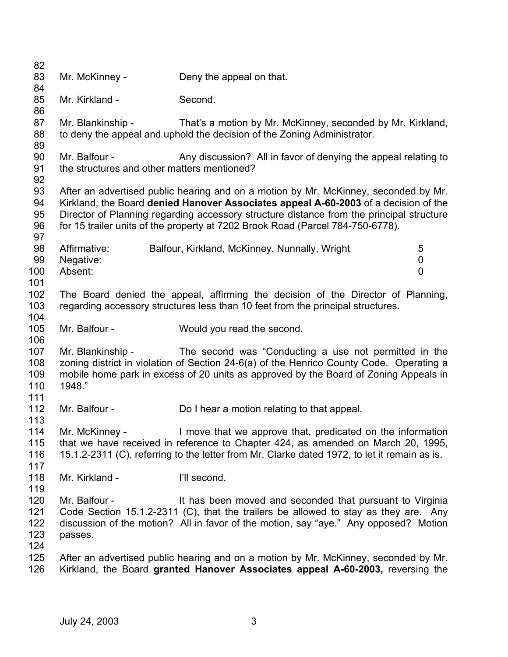| 82<br>83       | Mr. McKinney -                              | Deny the appeal on that.                                                                                                                                                        |   |
|----------------|---------------------------------------------|---------------------------------------------------------------------------------------------------------------------------------------------------------------------------------|---|
| 84<br>85       | Mr. Kirkland -                              | Second.                                                                                                                                                                         |   |
| 86             |                                             |                                                                                                                                                                                 |   |
| 87<br>88<br>89 | Mr. Blankinship -                           | That's a motion by Mr. McKinney, seconded by Mr. Kirkland,<br>to deny the appeal and uphold the decision of the Zoning Administrator.                                           |   |
| 90             | Mr. Balfour -                               | Any discussion? All in favor of denying the appeal relating to                                                                                                                  |   |
| 91             | the structures and other matters mentioned? |                                                                                                                                                                                 |   |
| 92             |                                             |                                                                                                                                                                                 |   |
| 93             |                                             | After an advertised public hearing and on a motion by Mr. McKinney, seconded by Mr.                                                                                             |   |
| 94<br>95       |                                             | Kirkland, the Board denied Hanover Associates appeal A-60-2003 of a decision of the<br>Director of Planning regarding accessory structure distance from the principal structure |   |
| 96             |                                             | for 15 trailer units of the property at 7202 Brook Road (Parcel 784-750-6778).                                                                                                  |   |
| 97             |                                             |                                                                                                                                                                                 |   |
| 98             | Affirmative:                                | Balfour, Kirkland, McKinney, Nunnally, Wright                                                                                                                                   | 5 |
| 99             | Negative:                                   |                                                                                                                                                                                 | 0 |
| 100            | Absent:                                     |                                                                                                                                                                                 | 0 |
| 101            |                                             |                                                                                                                                                                                 |   |
| 102<br>103     |                                             | The Board denied the appeal, affirming the decision of the Director of Planning,<br>regarding accessory structures less than 10 feet from the principal structures.             |   |
| 104            |                                             |                                                                                                                                                                                 |   |
| 105            | Mr. Balfour -                               | Would you read the second.                                                                                                                                                      |   |
| 106            |                                             |                                                                                                                                                                                 |   |
| 107            | Mr. Blankinship -                           | The second was "Conducting a use not permitted in the                                                                                                                           |   |
| 108            |                                             | zoning district in violation of Section 24-6(a) of the Henrico County Code. Operating a                                                                                         |   |
| 109<br>110     | 1948."                                      | mobile home park in excess of 20 units as approved by the Board of Zoning Appeals in                                                                                            |   |
| 111            |                                             |                                                                                                                                                                                 |   |
| 112            | Mr. Balfour -                               | Do I hear a motion relating to that appeal.                                                                                                                                     |   |
| 113            |                                             |                                                                                                                                                                                 |   |
| 114            | Mr. McKinney -                              | I move that we approve that, predicated on the information                                                                                                                      |   |
| 115            |                                             | that we have received in reference to Chapter 424, as amended on March 20, 1995,                                                                                                |   |
| 116<br>117     |                                             | 15.1.2-2311 (C), referring to the letter from Mr. Clarke dated 1972, to let it remain as is.                                                                                    |   |
| 118            | Mr. Kirkland -                              | I'll second.                                                                                                                                                                    |   |
| 119            |                                             |                                                                                                                                                                                 |   |
| 120            | Mr. Balfour -                               | It has been moved and seconded that pursuant to Virginia                                                                                                                        |   |
| 121            |                                             | Code Section 15.1.2-2311 (C), that the trailers be allowed to stay as they are. Any                                                                                             |   |
| 122            |                                             | discussion of the motion? All in favor of the motion, say "aye." Any opposed? Motion                                                                                            |   |
| 123<br>124     | passes.                                     |                                                                                                                                                                                 |   |
| 125            |                                             | After an advertised public hearing and on a motion by Mr. McKinney, seconded by Mr.                                                                                             |   |
| 126            |                                             | Kirkland, the Board granted Hanover Associates appeal A-60-2003, reversing the                                                                                                  |   |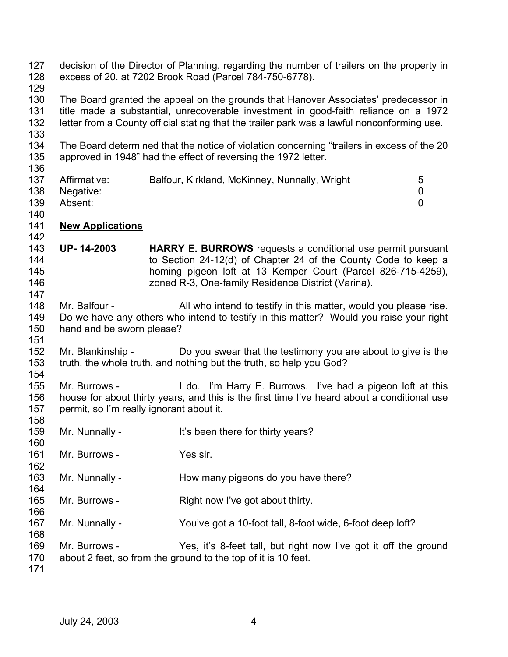| 127<br>128<br>129               |                                                           | decision of the Director of Planning, regarding the number of trailers on the property in<br>excess of 20. at 7202 Brook Road (Parcel 784-750-6778).                                                                                                                      |
|---------------------------------|-----------------------------------------------------------|---------------------------------------------------------------------------------------------------------------------------------------------------------------------------------------------------------------------------------------------------------------------------|
| 130<br>131<br>132<br>133        |                                                           | The Board granted the appeal on the grounds that Hanover Associates' predecessor in<br>title made a substantial, unrecoverable investment in good-faith reliance on a 1972<br>letter from a County official stating that the trailer park was a lawful nonconforming use. |
| 134<br>135<br>136               |                                                           | The Board determined that the notice of violation concerning "trailers in excess of the 20<br>approved in 1948" had the effect of reversing the 1972 letter.                                                                                                              |
| 137<br>138<br>139<br>140        | Affirmative:<br>Negative:<br>Absent:                      | 5<br>Balfour, Kirkland, McKinney, Nunnally, Wright<br>$\overline{0}$<br>$\overline{0}$                                                                                                                                                                                    |
| 141                             | <b>New Applications</b>                                   |                                                                                                                                                                                                                                                                           |
| 142<br>143<br>144<br>145<br>146 | <b>UP-14-2003</b>                                         | HARRY E. BURROWS requests a conditional use permit pursuant<br>to Section 24-12(d) of Chapter 24 of the County Code to keep a<br>homing pigeon loft at 13 Kemper Court (Parcel 826-715-4259),<br>zoned R-3, One-family Residence District (Varina).                       |
| 147<br>148<br>149<br>150<br>151 | Mr. Balfour -<br>hand and be sworn please?                | All who intend to testify in this matter, would you please rise.<br>Do we have any others who intend to testify in this matter? Would you raise your right                                                                                                                |
| 152<br>153<br>154               | Mr. Blankinship -                                         | Do you swear that the testimony you are about to give is the<br>truth, the whole truth, and nothing but the truth, so help you God?                                                                                                                                       |
| 155<br>156<br>157<br>158        | Mr. Burrows -<br>permit, so I'm really ignorant about it. | I do. I'm Harry E. Burrows. I've had a pigeon loft at this<br>house for about thirty years, and this is the first time I've heard about a conditional use                                                                                                                 |
| 159<br>160                      | Mr. Nunnally -                                            | It's been there for thirty years?                                                                                                                                                                                                                                         |
| 161<br>162                      | Mr. Burrows -                                             | Yes sir.                                                                                                                                                                                                                                                                  |
| 163<br>164                      | Mr. Nunnally -                                            | How many pigeons do you have there?                                                                                                                                                                                                                                       |
| 165<br>166                      | Mr. Burrows -                                             | Right now I've got about thirty.                                                                                                                                                                                                                                          |
| 167<br>168                      | Mr. Nunnally -                                            | You've got a 10-foot tall, 8-foot wide, 6-foot deep loft?                                                                                                                                                                                                                 |
| 169<br>170<br>171               | Mr. Burrows -                                             | Yes, it's 8-feet tall, but right now I've got it off the ground<br>about 2 feet, so from the ground to the top of it is 10 feet.                                                                                                                                          |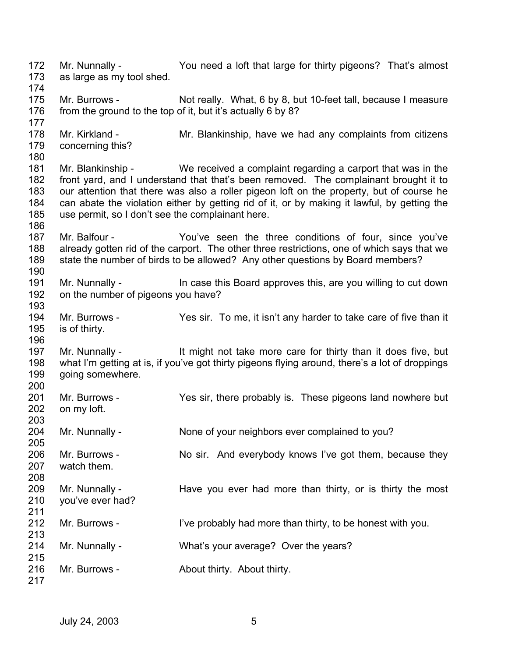172 173 174 175 176 177 178 179 180 181 182 183 184 185 186 187 188 189 190 191 192 193 194 195 196 197 198 199 200 201 202 203 204 205 206 207 208 209 210 211 212 213 214 215 216 217 Mr. Nunnally - You need a loft that large for thirty pigeons? That's almost as large as my tool shed. Mr. Burrows - Not really. What, 6 by 8, but 10-feet tall, because I measure from the ground to the top of it, but it's actually 6 by 8? Mr. Kirkland - Mr. Blankinship, have we had any complaints from citizens concerning this? Mr. Blankinship - We received a complaint regarding a carport that was in the front yard, and I understand that that's been removed. The complainant brought it to our attention that there was also a roller pigeon loft on the property, but of course he can abate the violation either by getting rid of it, or by making it lawful, by getting the use permit, so I don't see the complainant here. Mr. Balfour - The You've seen the three conditions of four, since you've already gotten rid of the carport. The other three restrictions, one of which says that we state the number of birds to be allowed? Any other questions by Board members? Mr. Nunnally - In case this Board approves this, are you willing to cut down on the number of pigeons you have? Mr. Burrows - Yes sir. To me, it isn't any harder to take care of five than it is of thirty. Mr. Nunnally - It might not take more care for thirty than it does five, but what I'm getting at is, if you've got thirty pigeons flying around, there's a lot of droppings going somewhere. Mr. Burrows - Yes sir, there probably is. These pigeons land nowhere but on my loft. Mr. Nunnally - None of your neighbors ever complained to you? Mr. Burrows - No sir. And everybody knows I've got them, because they watch them. Mr. Nunnally - Have you ever had more than thirty, or is thirty the most you've ever had? Mr. Burrows - I've probably had more than thirty, to be honest with you. Mr. Nunnally - What's your average? Over the years? Mr. Burrows - **About thirty.** About thirty.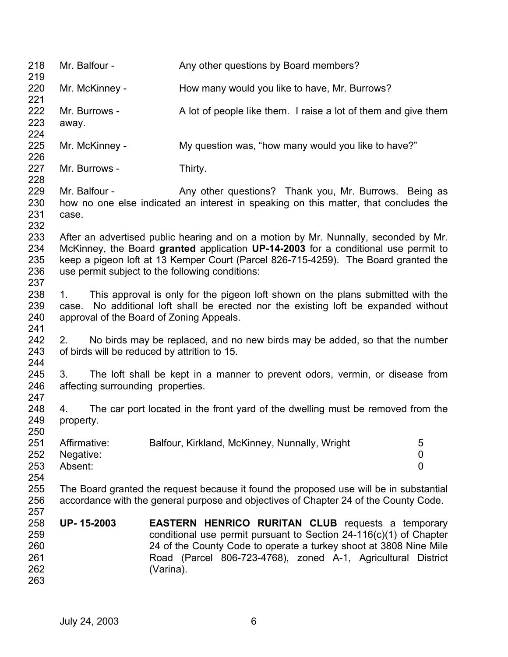| 218<br>219                             | Mr. Balfour -                           | Any other questions by Board members?                                                                                                                                                                                                                                                                              |                                  |
|----------------------------------------|-----------------------------------------|--------------------------------------------------------------------------------------------------------------------------------------------------------------------------------------------------------------------------------------------------------------------------------------------------------------------|----------------------------------|
| 220<br>221                             | Mr. McKinney -                          | How many would you like to have, Mr. Burrows?                                                                                                                                                                                                                                                                      |                                  |
| 222<br>223<br>224                      | Mr. Burrows -<br>away.                  | A lot of people like them. I raise a lot of them and give them                                                                                                                                                                                                                                                     |                                  |
| 225<br>226                             | Mr. McKinney -                          | My question was, "how many would you like to have?"                                                                                                                                                                                                                                                                |                                  |
| 227<br>228                             | Mr. Burrows -                           | Thirty.                                                                                                                                                                                                                                                                                                            |                                  |
| 229<br>230<br>231<br>232               | Mr. Balfour -<br>case.                  | Any other questions? Thank you, Mr. Burrows. Being as<br>how no one else indicated an interest in speaking on this matter, that concludes the                                                                                                                                                                      |                                  |
| 233<br>234<br>235<br>236<br>237        |                                         | After an advertised public hearing and on a motion by Mr. Nunnally, seconded by Mr.<br>McKinney, the Board granted application UP-14-2003 for a conditional use permit to<br>keep a pigeon loft at 13 Kemper Court (Parcel 826-715-4259). The Board granted the<br>use permit subject to the following conditions: |                                  |
| 238<br>239<br>240<br>241               | 1.                                      | This approval is only for the pigeon loft shown on the plans submitted with the<br>case. No additional loft shall be erected nor the existing loft be expanded without<br>approval of the Board of Zoning Appeals.                                                                                                 |                                  |
| 242<br>243<br>244                      | 2.                                      | No birds may be replaced, and no new birds may be added, so that the number<br>of birds will be reduced by attrition to 15.                                                                                                                                                                                        |                                  |
| 245<br>246<br>247                      | 3.<br>affecting surrounding properties. | The loft shall be kept in a manner to prevent odors, vermin, or disease from                                                                                                                                                                                                                                       |                                  |
| 248<br>249<br>250                      | 4.<br>property.                         | The car port located in the front yard of the dwelling must be removed from the                                                                                                                                                                                                                                    |                                  |
| 251<br>252<br>253<br>254               | Affirmative:<br>Negative:<br>Absent:    | Balfour, Kirkland, McKinney, Nunnally, Wright                                                                                                                                                                                                                                                                      | 5<br>$\pmb{0}$<br>$\overline{0}$ |
| 255<br>256<br>257                      |                                         | The Board granted the request because it found the proposed use will be in substantial<br>accordance with the general purpose and objectives of Chapter 24 of the County Code.                                                                                                                                     |                                  |
| 258<br>259<br>260<br>261<br>262<br>263 | UP-15-2003                              | <b>EASTERN HENRICO RURITAN CLUB requests a temporary</b><br>conditional use permit pursuant to Section $24-116(c)(1)$ of Chapter<br>24 of the County Code to operate a turkey shoot at 3808 Nine Mile<br>Road (Parcel 806-723-4768), zoned A-1, Agricultural District<br>(Varina).                                 |                                  |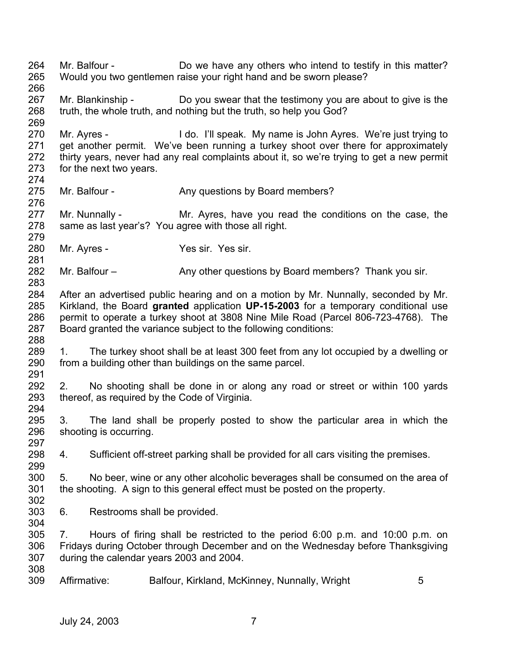264 265 266 267 268 269 270 271 272 273 274 275 276 277 278 279 280 281 282 283 284 285 286 287 288 289 290 291 292 293 294 295 296 297 298 299 300 301 302 303 304 305 306 307 308 309 Mr. Balfour - Do we have any others who intend to testify in this matter? Would you two gentlemen raise your right hand and be sworn please? Mr. Blankinship - Do you swear that the testimony you are about to give is the truth, the whole truth, and nothing but the truth, so help you God? Mr. Ayres - I do. I'll speak. My name is John Ayres. We're just trying to get another permit. We've been running a turkey shoot over there for approximately thirty years, never had any real complaints about it, so we're trying to get a new permit for the next two years. Mr. Balfour - Any questions by Board members? Mr. Nunnally - Mr. Ayres, have you read the conditions on the case, the same as last year's? You agree with those all right. Mr. Ayres - Yes sir. Yes sir. Mr. Balfour – **Any other questions by Board members?** Thank you sir. After an advertised public hearing and on a motion by Mr. Nunnally, seconded by Mr. Kirkland, the Board **granted** application **UP-15-2003** for a temporary conditional use permit to operate a turkey shoot at 3808 Nine Mile Road (Parcel 806-723-4768). The Board granted the variance subject to the following conditions: 1. The turkey shoot shall be at least 300 feet from any lot occupied by a dwelling or from a building other than buildings on the same parcel. 2. No shooting shall be done in or along any road or street or within 100 yards thereof, as required by the Code of Virginia. 3. The land shall be properly posted to show the particular area in which the shooting is occurring. 4. Sufficient off-street parking shall be provided for all cars visiting the premises. 5. No beer, wine or any other alcoholic beverages shall be consumed on the area of the shooting. A sign to this general effect must be posted on the property. 6. Restrooms shall be provided. 7. Hours of firing shall be restricted to the period 6:00 p.m. and 10:00 p.m. on Fridays during October through December and on the Wednesday before Thanksgiving during the calendar years 2003 and 2004. Affirmative: Balfour, Kirkland, McKinney, Nunnally, Wright 5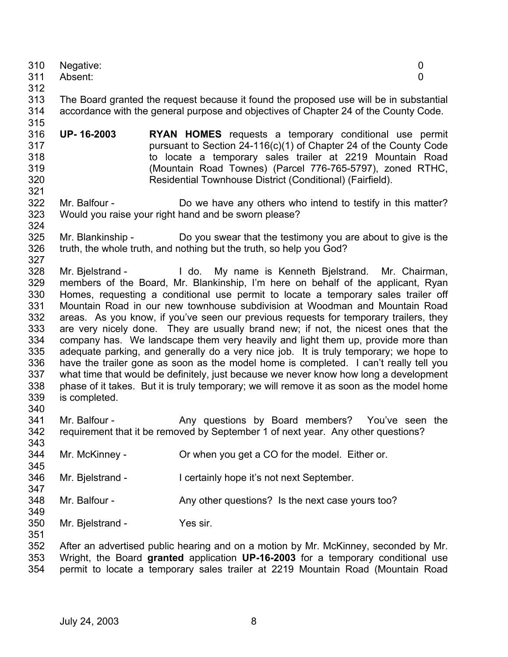|     | 310 Negative: |  |
|-----|---------------|--|
|     | 311 Absent:   |  |
| 312 |               |  |

- 313 314 The Board granted the request because it found the proposed use will be in substantial accordance with the general purpose and objectives of Chapter 24 of the County Code.
- 316 317 318 319 320 321 **UP- 16-2003 RYAN HOMES** requests a temporary conditional use permit pursuant to Section 24-116(c)(1) of Chapter 24 of the County Code to locate a temporary sales trailer at 2219 Mountain Road (Mountain Road Townes) (Parcel 776-765-5797), zoned RTHC, Residential Townhouse District (Conditional) (Fairfield).
- 322 323 324 Mr. Balfour - Do we have any others who intend to testify in this matter? Would you raise your right hand and be sworn please?
- 325 326 Mr. Blankinship - Do you swear that the testimony you are about to give is the truth, the whole truth, and nothing but the truth, so help you God?
- 327 328 329 330 331 332 333 334 335 336 337 338 339 340 Mr. Bjelstrand - I do. My name is Kenneth Bjelstrand. Mr. Chairman, members of the Board, Mr. Blankinship, I'm here on behalf of the applicant, Ryan Homes, requesting a conditional use permit to locate a temporary sales trailer off Mountain Road in our new townhouse subdivision at Woodman and Mountain Road areas. As you know, if you've seen our previous requests for temporary trailers, they are very nicely done. They are usually brand new; if not, the nicest ones that the company has. We landscape them very heavily and light them up, provide more than adequate parking, and generally do a very nice job. It is truly temporary; we hope to have the trailer gone as soon as the model home is completed. I can't really tell you what time that would be definitely, just because we never know how long a development phase of it takes. But it is truly temporary; we will remove it as soon as the model home is completed.
- 341 342 Mr. Balfour - The Any questions by Board members? You've seen the requirement that it be removed by September 1 of next year. Any other questions?
- 344 Mr. McKinney - Cr when you get a CO for the model. Either or.
- 346 Mr. Bielstrand - I certainly hope it's not next September.
- 348 Mr. Balfour - Any other questions? Is the next case yours too?
- 350 351 Mr. Bjelstrand - Yes sir.

352 353 354 After an advertised public hearing and on a motion by Mr. McKinney, seconded by Mr. Wright, the Board **granted** application **UP-16-2003** for a temporary conditional use permit to locate a temporary sales trailer at 2219 Mountain Road (Mountain Road

315

343

345

347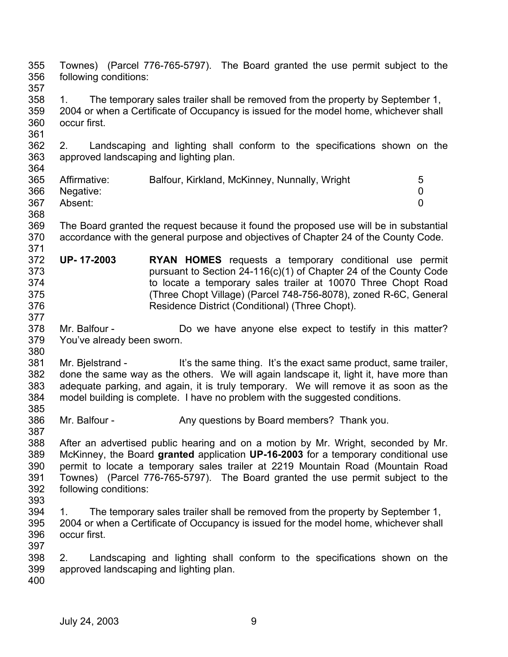355 356 357 358 359 360 361 362 363 364 365 366 367 368 369 370 371 372 373 374 375 376 377 378 379 380 381 382 383 384 385 386 387 388 389 390 391 392 393 394 395 396 397 398 399 400 Townes) (Parcel 776-765-5797). The Board granted the use permit subject to the following conditions: 1. The temporary sales trailer shall be removed from the property by September 1, 2004 or when a Certificate of Occupancy is issued for the model home, whichever shall occur first. 2. Landscaping and lighting shall conform to the specifications shown on the approved landscaping and lighting plan. Affirmative: Balfour, Kirkland, McKinney, Nunnally, Wright 5 Negative: 0 Absent: 0 The Board granted the request because it found the proposed use will be in substantial accordance with the general purpose and objectives of Chapter 24 of the County Code. **UP- 17-2003 RYAN HOMES** requests a temporary conditional use permit pursuant to Section 24-116(c)(1) of Chapter 24 of the County Code to locate a temporary sales trailer at 10070 Three Chopt Road (Three Chopt Village) (Parcel 748-756-8078), zoned R-6C, General Residence District (Conditional) (Three Chopt). Mr. Balfour - **Do** we have anyone else expect to testify in this matter? You've already been sworn. Mr. Bielstrand - It's the same thing. It's the exact same product, same trailer, done the same way as the others. We will again landscape it, light it, have more than adequate parking, and again, it is truly temporary. We will remove it as soon as the model building is complete. I have no problem with the suggested conditions. Mr. Balfour - Any questions by Board members? Thank you. After an advertised public hearing and on a motion by Mr. Wright, seconded by Mr. McKinney, the Board **granted** application **UP-16-2003** for a temporary conditional use permit to locate a temporary sales trailer at 2219 Mountain Road (Mountain Road Townes) (Parcel 776-765-5797). The Board granted the use permit subject to the following conditions: 1. The temporary sales trailer shall be removed from the property by September 1, 2004 or when a Certificate of Occupancy is issued for the model home, whichever shall occur first. 2. Landscaping and lighting shall conform to the specifications shown on the approved landscaping and lighting plan.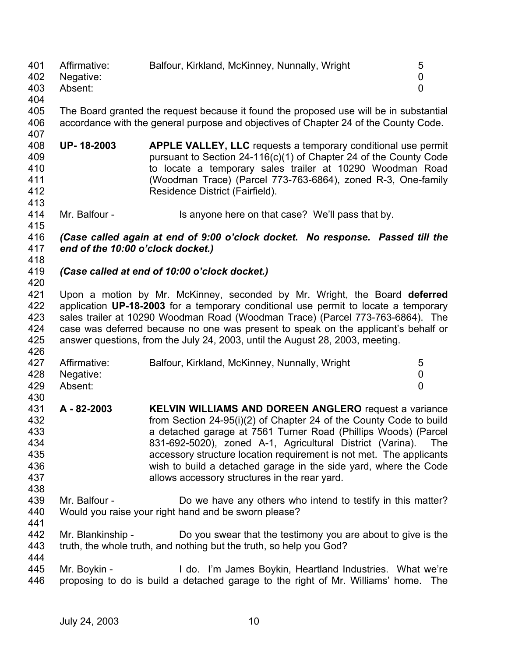401 402 403 404 Affirmative: Balfour, Kirkland, McKinney, Nunnally, Wright 5 Negative: 0 Absent: 0

405 406 407 The Board granted the request because it found the proposed use will be in substantial accordance with the general purpose and objectives of Chapter 24 of the County Code.

- 408 409 410 411 412 **UP- 18-2003 APPLE VALLEY, LLC** requests a temporary conditional use permit pursuant to Section 24-116(c)(1) of Chapter 24 of the County Code to locate a temporary sales trailer at 10290 Woodman Road (Woodman Trace) (Parcel 773-763-6864), zoned R-3, One-family Residence District (Fairfield).
- 414 Mr. Balfour - Is anyone here on that case? We'll pass that by.

416 417 *(Case called again at end of 9:00 o'clock docket. No response. Passed till the end of the 10:00 o'clock docket.)* 

418

426

430

413

415

## 419 420 *(Case called at end of 10:00 o'clock docket.)*

421 422 423 424 425 Upon a motion by Mr. McKinney, seconded by Mr. Wright, the Board **deferred** application **UP-18-2003** for a temporary conditional use permit to locate a temporary sales trailer at 10290 Woodman Road (Woodman Trace) (Parcel 773-763-6864). The case was deferred because no one was present to speak on the applicant's behalf or answer questions, from the July 24, 2003, until the August 28, 2003, meeting.

| 427 | Affirmative:  | Balfour, Kirkland, McKinney, Nunnally, Wright |  |
|-----|---------------|-----------------------------------------------|--|
|     | 428 Negative: |                                               |  |
| 429 | Absent:       |                                               |  |

- 431 432 433 434 435 436 437 **A - 82-2003 KELVIN WILLIAMS AND DOREEN ANGLERO** request a variance from Section 24-95(i)(2) of Chapter 24 of the County Code to build a detached garage at 7561 Turner Road (Phillips Woods) (Parcel 831-692-5020), zoned A-1, Agricultural District (Varina). The accessory structure location requirement is not met. The applicants wish to build a detached garage in the side yard, where the Code allows accessory structures in the rear yard.
- 439 440 Mr. Balfour - Do we have any others who intend to testify in this matter? Would you raise your right hand and be sworn please?
- 441

438

442 443 444 Mr. Blankinship - Do you swear that the testimony you are about to give is the truth, the whole truth, and nothing but the truth, so help you God?

445 446 Mr. Boykin - The Muslim Lido. I'm James Boykin, Heartland Industries. What we're proposing to do is build a detached garage to the right of Mr. Williams' home. The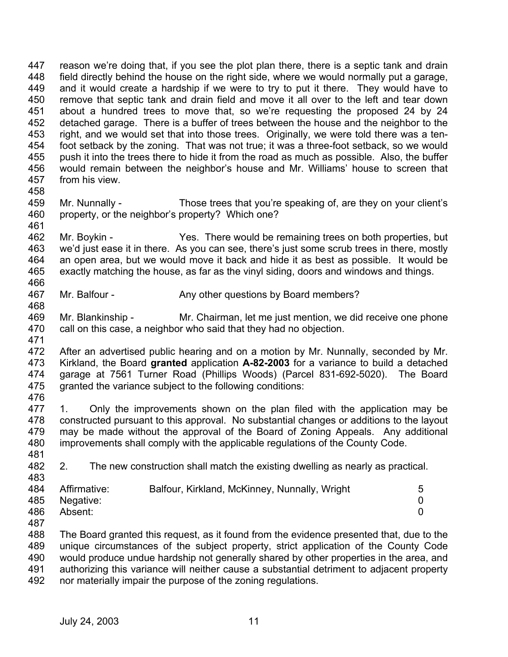447 448 449 450 451 452 453 454 455 456 457 458 reason we're doing that, if you see the plot plan there, there is a septic tank and drain field directly behind the house on the right side, where we would normally put a garage, and it would create a hardship if we were to try to put it there. They would have to remove that septic tank and drain field and move it all over to the left and tear down about a hundred trees to move that, so we're requesting the proposed 24 by 24 detached garage. There is a buffer of trees between the house and the neighbor to the right, and we would set that into those trees. Originally, we were told there was a tenfoot setback by the zoning. That was not true; it was a three-foot setback, so we would push it into the trees there to hide it from the road as much as possible. Also, the buffer would remain between the neighbor's house and Mr. Williams' house to screen that from his view.

- 459 460 461 Mr. Nunnally - Those trees that you're speaking of, are they on your client's property, or the neighbor's property? Which one?
- 462 463 464 465 466 Mr. Boykin - Yes. There would be remaining trees on both properties, but we'd just ease it in there. As you can see, there's just some scrub trees in there, mostly an open area, but we would move it back and hide it as best as possible. It would be exactly matching the house, as far as the vinyl siding, doors and windows and things.
- 467 Mr. Balfour - Any other questions by Board members?
- 469 470 471 Mr. Blankinship - Mr. Chairman, let me just mention, we did receive one phone call on this case, a neighbor who said that they had no objection.
- 472 473 474 475 476 After an advertised public hearing and on a motion by Mr. Nunnally, seconded by Mr. Kirkland, the Board **granted** application **A-82-2003** for a variance to build a detached garage at 7561 Turner Road (Phillips Woods) (Parcel 831-692-5020). The Board granted the variance subject to the following conditions:
- 477 478 479 480 481 1. Only the improvements shown on the plan filed with the application may be constructed pursuant to this approval. No substantial changes or additions to the layout may be made without the approval of the Board of Zoning Appeals. Any additional improvements shall comply with the applicable regulations of the County Code.
- 482 2. The new construction shall match the existing dwelling as nearly as practical.

|     | 484 Affirmative: | Balfour, Kirkland, McKinney, Nunnally, Wright |  |
|-----|------------------|-----------------------------------------------|--|
|     | 485 Negative:    |                                               |  |
| 486 | Absent:          |                                               |  |

487

483

468

488 489 490 491 492 The Board granted this request, as it found from the evidence presented that, due to the unique circumstances of the subject property, strict application of the County Code would produce undue hardship not generally shared by other properties in the area, and authorizing this variance will neither cause a substantial detriment to adjacent property nor materially impair the purpose of the zoning regulations.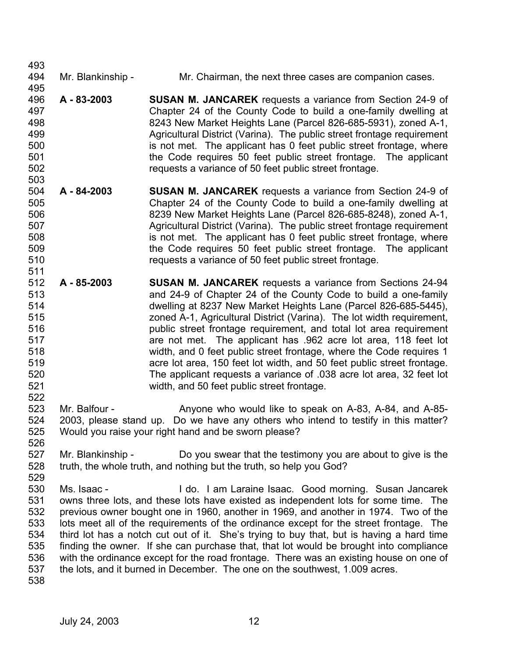| 493 |                   |                                                                                          |
|-----|-------------------|------------------------------------------------------------------------------------------|
| 494 | Mr. Blankinship - | Mr. Chairman, the next three cases are companion cases.                                  |
| 495 |                   |                                                                                          |
| 496 | A - 83-2003       | <b>SUSAN M. JANCAREK</b> requests a variance from Section 24-9 of                        |
| 497 |                   | Chapter 24 of the County Code to build a one-family dwelling at                          |
| 498 |                   | 8243 New Market Heights Lane (Parcel 826-685-5931), zoned A-1,                           |
| 499 |                   | Agricultural District (Varina). The public street frontage requirement                   |
| 500 |                   | is not met. The applicant has 0 feet public street frontage, where                       |
| 501 |                   | the Code requires 50 feet public street frontage. The applicant                          |
| 502 |                   | requests a variance of 50 feet public street frontage.                                   |
| 503 |                   |                                                                                          |
| 504 | A - 84-2003       | <b>SUSAN M. JANCAREK</b> requests a variance from Section 24-9 of                        |
| 505 |                   | Chapter 24 of the County Code to build a one-family dwelling at                          |
| 506 |                   | 8239 New Market Heights Lane (Parcel 826-685-8248), zoned A-1,                           |
| 507 |                   | Agricultural District (Varina). The public street frontage requirement                   |
| 508 |                   | is not met. The applicant has 0 feet public street frontage, where                       |
| 509 |                   | the Code requires 50 feet public street frontage. The applicant                          |
| 510 |                   | requests a variance of 50 feet public street frontage.                                   |
| 511 |                   |                                                                                          |
| 512 | A - 85-2003       | <b>SUSAN M. JANCAREK</b> requests a variance from Sections 24-94                         |
| 513 |                   | and 24-9 of Chapter 24 of the County Code to build a one-family                          |
| 514 |                   | dwelling at 8237 New Market Heights Lane (Parcel 826-685-5445),                          |
| 515 |                   | zoned A-1, Agricultural District (Varina). The lot width requirement,                    |
| 516 |                   | public street frontage requirement, and total lot area requirement                       |
| 517 |                   | are not met. The applicant has .962 acre lot area, 118 feet lot                          |
| 518 |                   | width, and 0 feet public street frontage, where the Code requires 1                      |
| 519 |                   | acre lot area, 150 feet lot width, and 50 feet public street frontage.                   |
| 520 |                   | The applicant requests a variance of .038 acre lot area, 32 feet lot                     |
| 521 |                   | width, and 50 feet public street frontage.                                               |
| 522 |                   |                                                                                          |
| 523 | Mr. Balfour -     | Anyone who would like to speak on A-83, A-84, and A-85-                                  |
| 524 |                   | 2003, please stand up. Do we have any others who intend to testify in this matter?       |
| 525 |                   | Would you raise your right hand and be sworn please?                                     |
| 526 |                   |                                                                                          |
| 527 | Mr. Blankinship - | Do you swear that the testimony you are about to give is the                             |
| 528 |                   | truth, the whole truth, and nothing but the truth, so help you God?                      |
| 529 |                   |                                                                                          |
| 530 | Ms. Isaac -       | I do. I am Laraine Isaac. Good morning. Susan Jancarek                                   |
| 531 |                   | owns three lots, and these lots have existed as independent lots for some time. The      |
| 532 |                   | previous owner bought one in 1960, another in 1969, and another in 1974. Two of the      |
| 533 |                   | lots meet all of the requirements of the ordinance except for the street frontage. The   |
| 534 |                   | third lot has a notch cut out of it. She's trying to buy that, but is having a hard time |
| 535 |                   | finding the owner. If she can purchase that, that lot would be brought into compliance   |
| 536 |                   | with the ordinance except for the road frontage. There was an existing house on one of   |
| 537 |                   | the lots, and it burned in December. The one on the southwest, 1.009 acres.              |
| 538 |                   |                                                                                          |
|     |                   |                                                                                          |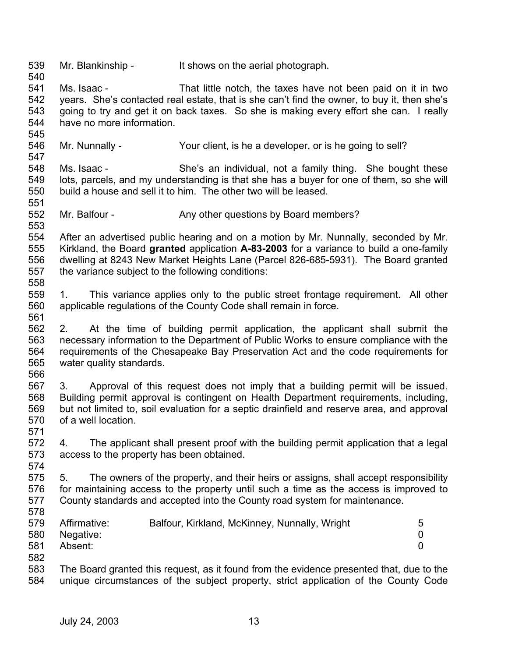539 Mr. Blankinship - It shows on the aerial photograph.

540

545

547

561

571

574

541 542 543 544 Ms. Isaac - That little notch, the taxes have not been paid on it in two years. She's contacted real estate, that is she can't find the owner, to buy it, then she's going to try and get it on back taxes. So she is making every effort she can. I really have no more information.

546 Mr. Nunnally - Your client, is he a developer, or is he going to sell?

548 549 550 551 Ms. Isaac - She's an individual, not a family thing. She bought these lots, parcels, and my understanding is that she has a buyer for one of them, so she will build a house and sell it to him. The other two will be leased.

552 553 Mr. Balfour - Any other questions by Board members?

554 555 556 557 558 After an advertised public hearing and on a motion by Mr. Nunnally, seconded by Mr. Kirkland, the Board **granted** application **A-83-2003** for a variance to build a one-family dwelling at 8243 New Market Heights Lane (Parcel 826-685-5931). The Board granted the variance subject to the following conditions:

559 560 1. This variance applies only to the public street frontage requirement. All other applicable regulations of the County Code shall remain in force.

562 563 564 565 566 2. At the time of building permit application, the applicant shall submit the necessary information to the Department of Public Works to ensure compliance with the requirements of the Chesapeake Bay Preservation Act and the code requirements for water quality standards.

567 568 569 570 3. Approval of this request does not imply that a building permit will be issued. Building permit approval is contingent on Health Department requirements, including, but not limited to, soil evaluation for a septic drainfield and reserve area, and approval of a well location.

572 573 4. The applicant shall present proof with the building permit application that a legal access to the property has been obtained.

575 576 577 578 5. The owners of the property, and their heirs or assigns, shall accept responsibility for maintaining access to the property until such a time as the access is improved to County standards and accepted into the County road system for maintenance.

579 580 581 582 Affirmative: Balfour, Kirkland, McKinney, Nunnally, Wright 5 Negative: 0 Absent: 0

583 584 The Board granted this request, as it found from the evidence presented that, due to the unique circumstances of the subject property, strict application of the County Code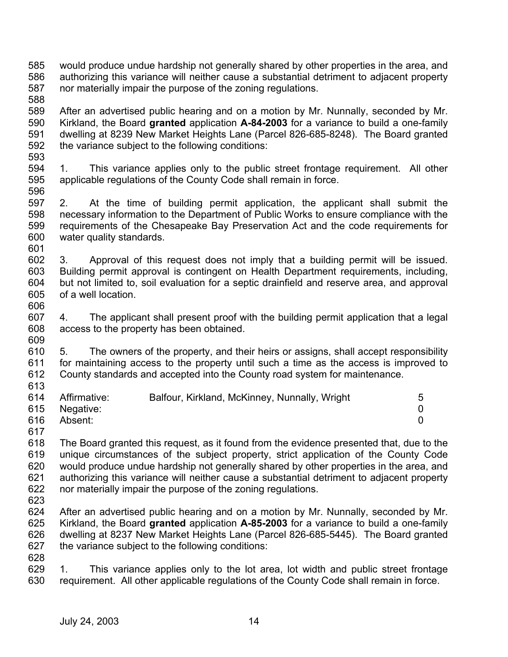- 585 586 587 would produce undue hardship not generally shared by other properties in the area, and authorizing this variance will neither cause a substantial detriment to adjacent property nor materially impair the purpose of the zoning regulations.
- 589 590 591 592 593 After an advertised public hearing and on a motion by Mr. Nunnally, seconded by Mr. Kirkland, the Board **granted** application **A-84-2003** for a variance to build a one-family dwelling at 8239 New Market Heights Lane (Parcel 826-685-8248). The Board granted the variance subject to the following conditions:
- 594 595 596 1. This variance applies only to the public street frontage requirement. All other applicable regulations of the County Code shall remain in force.
- 597 598 599 600 2. At the time of building permit application, the applicant shall submit the necessary information to the Department of Public Works to ensure compliance with the requirements of the Chesapeake Bay Preservation Act and the code requirements for water quality standards.
- 602 603 604 605 3. Approval of this request does not imply that a building permit will be issued. Building permit approval is contingent on Health Department requirements, including, but not limited to, soil evaluation for a septic drainfield and reserve area, and approval of a well location.
- 606

601

588

- 607 608 609 4. The applicant shall present proof with the building permit application that a legal access to the property has been obtained.
- 610 611 612 613 5. The owners of the property, and their heirs or assigns, shall accept responsibility for maintaining access to the property until such a time as the access is improved to County standards and accepted into the County road system for maintenance.
- 614 615 616 Affirmative: Balfour, Kirkland, McKinney, Nunnally, Wright 5 Negative: 0 Absent: 0
- 617

618 619 620 621 622 The Board granted this request, as it found from the evidence presented that, due to the unique circumstances of the subject property, strict application of the County Code would produce undue hardship not generally shared by other properties in the area, and authorizing this variance will neither cause a substantial detriment to adjacent property nor materially impair the purpose of the zoning regulations.

- 623
- 624 625 626 627 After an advertised public hearing and on a motion by Mr. Nunnally, seconded by Mr. Kirkland, the Board **granted** application **A-85-2003** for a variance to build a one-family dwelling at 8237 New Market Heights Lane (Parcel 826-685-5445). The Board granted the variance subject to the following conditions:
- 628

629 630 1. This variance applies only to the lot area, lot width and public street frontage requirement. All other applicable regulations of the County Code shall remain in force.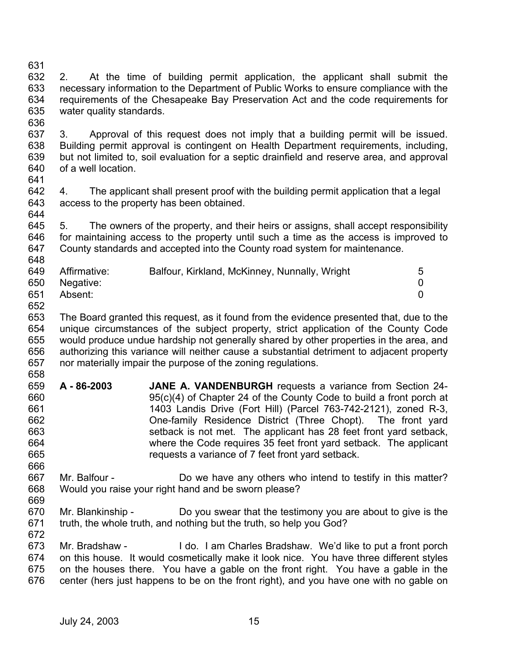- 631 632 633 634 635 2. At the time of building permit application, the applicant shall submit the necessary information to the Department of Public Works to ensure compliance with the requirements of the Chesapeake Bay Preservation Act and the code requirements for water quality standards.
- 636

637 638 639 640 3. Approval of this request does not imply that a building permit will be issued. Building permit approval is contingent on Health Department requirements, including, but not limited to, soil evaluation for a septic drainfield and reserve area, and approval of a well location.

- 641
- 642 643 644 4. The applicant shall present proof with the building permit application that a legal access to the property has been obtained.
- 645 646 647 648 5. The owners of the property, and their heirs or assigns, shall accept responsibility for maintaining access to the property until such a time as the access is improved to County standards and accepted into the County road system for maintenance.

| 649 | Affirmative:  | Balfour, Kirkland, McKinney, Nunnally, Wright | 5 |
|-----|---------------|-----------------------------------------------|---|
|     | 650 Negative: |                                               |   |
| 651 | Absent:       |                                               |   |

652

653 654 655 656 657 658 The Board granted this request, as it found from the evidence presented that, due to the unique circumstances of the subject property, strict application of the County Code would produce undue hardship not generally shared by other properties in the area, and authorizing this variance will neither cause a substantial detriment to adjacent property nor materially impair the purpose of the zoning regulations.

- 659 660 661 662 663 664 665 **A - 86-2003 JANE A. VANDENBURGH** requests a variance from Section 24- 95(c)(4) of Chapter 24 of the County Code to build a front porch at 1403 Landis Drive (Fort Hill) (Parcel 763-742-2121), zoned R-3, One-family Residence District (Three Chopt). The front yard setback is not met. The applicant has 28 feet front yard setback, where the Code requires 35 feet front yard setback. The applicant requests a variance of 7 feet front yard setback.
- 666 667 668 Mr. Balfour - **Do we have any others who intend to testify in this matter?** Would you raise your right hand and be sworn please?
- 669 670 671 672 Mr. Blankinship - Do you swear that the testimony you are about to give is the truth, the whole truth, and nothing but the truth, so help you God?
- 673 674 675 676 Mr. Bradshaw - I do. I am Charles Bradshaw. We'd like to put a front porch on this house. It would cosmetically make it look nice. You have three different styles on the houses there. You have a gable on the front right. You have a gable in the center (hers just happens to be on the front right), and you have one with no gable on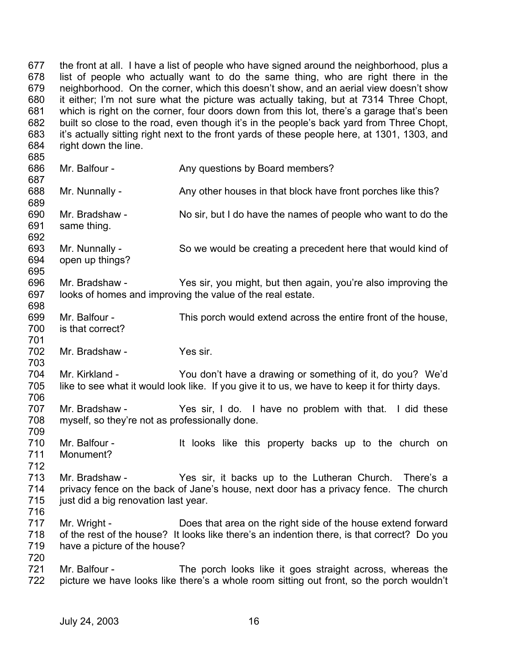677 678 679 680 681 682 683 684 685 686 687 688 689 690 691 692 693 694 695 696 697 698 699 700 701 702 703 704 705 706 707 708 709 710 711 712 713 714 715 716 717 718 719 720 721 722 the front at all. I have a list of people who have signed around the neighborhood, plus a list of people who actually want to do the same thing, who are right there in the neighborhood. On the corner, which this doesn't show, and an aerial view doesn't show it either; I'm not sure what the picture was actually taking, but at 7314 Three Chopt, which is right on the corner, four doors down from this lot, there's a garage that's been built so close to the road, even though it's in the people's back yard from Three Chopt, it's actually sitting right next to the front yards of these people here, at 1301, 1303, and right down the line. Mr. Balfour - Any questions by Board members? Mr. Nunnally - Any other houses in that block have front porches like this? Mr. Bradshaw - No sir, but I do have the names of people who want to do the same thing. Mr. Nunnally - So we would be creating a precedent here that would kind of open up things? Mr. Bradshaw - Yes sir, you might, but then again, you're also improving the looks of homes and improving the value of the real estate. Mr. Balfour - This porch would extend across the entire front of the house, is that correct? Mr. Bradshaw - Yes sir. Mr. Kirkland - You don't have a drawing or something of it, do you? We'd like to see what it would look like. If you give it to us, we have to keep it for thirty days. Mr. Bradshaw - Yes sir, I do. I have no problem with that. I did these myself, so they're not as professionally done. Mr. Balfour - It looks like this property backs up to the church on Monument? Mr. Bradshaw - There's a Yes sir, it backs up to the Lutheran Church. There's a privacy fence on the back of Jane's house, next door has a privacy fence. The church just did a big renovation last year. Mr. Wright - Does that area on the right side of the house extend forward of the rest of the house? It looks like there's an indention there, is that correct? Do you have a picture of the house? Mr. Balfour - The porch looks like it goes straight across, whereas the picture we have looks like there's a whole room sitting out front, so the porch wouldn't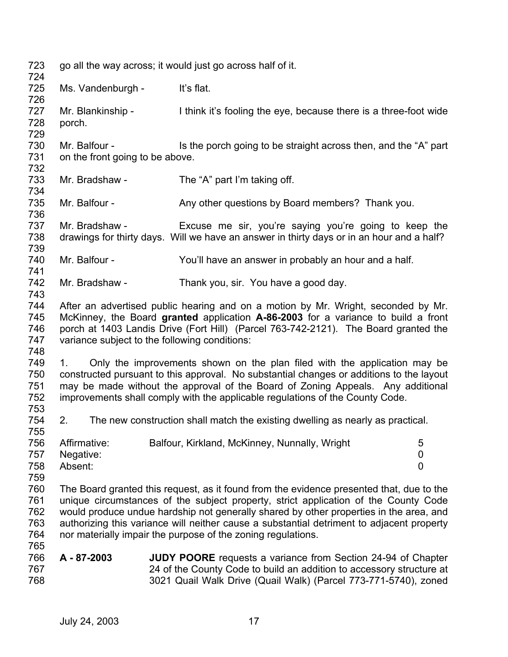723 724 725 726 727 728 729 730 731 732 733 734 735 736 737 738 739 740 741 742 743 744 745 746 747 748 749 750 751 752 753 754 755 756 757 758 759 760 761 762 763 764 765 766 767 768 go all the way across; it would just go across half of it. Ms. Vandenburgh - It's flat. Mr. Blankinship - I think it's fooling the eye, because there is a three-foot wide porch. Mr. Balfour - Is the porch going to be straight across then, and the "A" part on the front going to be above. Mr. Bradshaw - The "A" part I'm taking off. Mr. Balfour - Any other questions by Board members? Thank you. Mr. Bradshaw - Excuse me sir, you're saying you're going to keep the drawings for thirty days. Will we have an answer in thirty days or in an hour and a half? Mr. Balfour - You'll have an answer in probably an hour and a half. Mr. Bradshaw - Thank you, sir. You have a good day. After an advertised public hearing and on a motion by Mr. Wright, seconded by Mr. McKinney, the Board **granted** application **A-86-2003** for a variance to build a front porch at 1403 Landis Drive (Fort Hill) (Parcel 763-742-2121). The Board granted the variance subject to the following conditions: 1. Only the improvements shown on the plan filed with the application may be constructed pursuant to this approval. No substantial changes or additions to the layout may be made without the approval of the Board of Zoning Appeals. Any additional improvements shall comply with the applicable regulations of the County Code. 2. The new construction shall match the existing dwelling as nearly as practical. Affirmative: Balfour, Kirkland, McKinney, Nunnally, Wright 5 Negative: 0 Absent: 0 The Board granted this request, as it found from the evidence presented that, due to the unique circumstances of the subject property, strict application of the County Code would produce undue hardship not generally shared by other properties in the area, and authorizing this variance will neither cause a substantial detriment to adjacent property nor materially impair the purpose of the zoning regulations. **A - 87-2003 JUDY POORE** requests a variance from Section 24-94 of Chapter 24 of the County Code to build an addition to accessory structure at 3021 Quail Walk Drive (Quail Walk) (Parcel 773-771-5740), zoned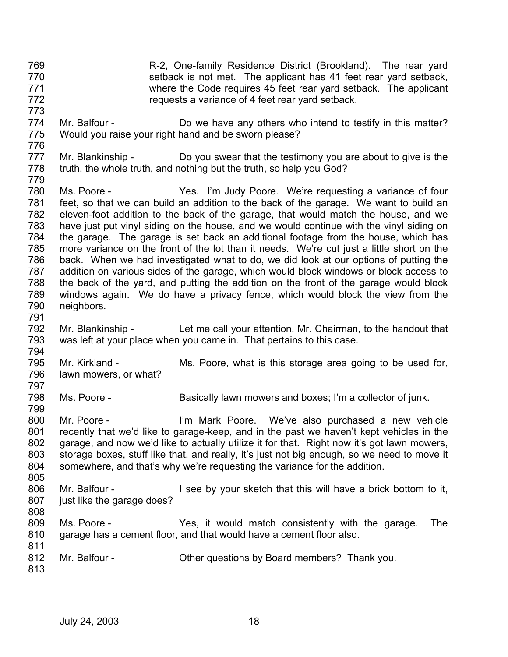- 769 770 771 772 R-2, One-family Residence District (Brookland). The rear yard setback is not met. The applicant has 41 feet rear yard setback, where the Code requires 45 feet rear yard setback. The applicant requests a variance of 4 feet rear yard setback.
- 774 775 Mr. Balfour - **Do we have any others who intend to testify in this matter?** Would you raise your right hand and be sworn please?
- 776

773

- 777 778 Mr. Blankinship - Do you swear that the testimony you are about to give is the truth, the whole truth, and nothing but the truth, so help you God?
- 779 780 781 782 783 784 785 786 787 788 789 790 Ms. Poore - The Yes. I'm Judy Poore. We're requesting a variance of four feet, so that we can build an addition to the back of the garage. We want to build an eleven-foot addition to the back of the garage, that would match the house, and we have just put vinyl siding on the house, and we would continue with the vinyl siding on the garage. The garage is set back an additional footage from the house, which has more variance on the front of the lot than it needs. We're cut just a little short on the back. When we had investigated what to do, we did look at our options of putting the addition on various sides of the garage, which would block windows or block access to the back of the yard, and putting the addition on the front of the garage would block windows again. We do have a privacy fence, which would block the view from the neighbors.
- 791

797

- 792 793 794 Mr. Blankinship - Let me call your attention, Mr. Chairman, to the handout that was left at your place when you came in. That pertains to this case.
- 795 796 Mr. Kirkland - Ms. Poore, what is this storage area going to be used for, lawn mowers, or what?
- 798 Ms. Poore - Basically lawn mowers and boxes; I'm a collector of junk.
- 800 801 802 803 804 805 Mr. Poore - I'm Mark Poore. We've also purchased a new vehicle recently that we'd like to garage-keep, and in the past we haven't kept vehicles in the garage, and now we'd like to actually utilize it for that. Right now it's got lawn mowers, storage boxes, stuff like that, and really, it's just not big enough, so we need to move it somewhere, and that's why we're requesting the variance for the addition.
- 806 807 Mr. Balfour - I see by your sketch that this will have a brick bottom to it, just like the garage does?
- 808
- 809 810 811 Ms. Poore - Yes, it would match consistently with the garage. The garage has a cement floor, and that would have a cement floor also.
- 812 Mr. Balfour - Cher questions by Board members? Thank you.
- 813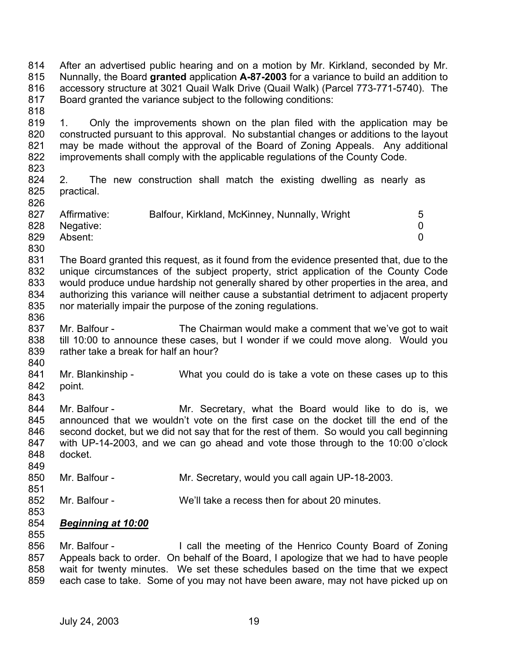814 815 816 817 818 After an advertised public hearing and on a motion by Mr. Kirkland, seconded by Mr. Nunnally, the Board **granted** application **A-87-2003** for a variance to build an addition to accessory structure at 3021 Quail Walk Drive (Quail Walk) (Parcel 773-771-5740). The Board granted the variance subject to the following conditions:

- 819 820 821 822 823 1. Only the improvements shown on the plan filed with the application may be constructed pursuant to this approval. No substantial changes or additions to the layout may be made without the approval of the Board of Zoning Appeals. Any additional improvements shall comply with the applicable regulations of the County Code.
- 824 825 2. The new construction shall match the existing dwelling as nearly as practical.

| 827 | Affirmative: | Balfour, Kirkland, McKinney, Nunnally, Wright | 5 |
|-----|--------------|-----------------------------------------------|---|
| 828 | Negative:    |                                               |   |
| 829 | Absent:      |                                               |   |
| 830 |              |                                               |   |

- 831 832 833 834 835 The Board granted this request, as it found from the evidence presented that, due to the unique circumstances of the subject property, strict application of the County Code would produce undue hardship not generally shared by other properties in the area, and authorizing this variance will neither cause a substantial detriment to adjacent property nor materially impair the purpose of the zoning regulations.
- 836 837 838 839 Mr. Balfour - The Chairman would make a comment that we've got to wait till 10:00 to announce these cases, but I wonder if we could move along. Would you rather take a break for half an hour?
- 840

- 841 842 Mr. Blankinship - What you could do is take a vote on these cases up to this point.
- 843
- 844 845 846 847 848 849 Mr. Balfour - The Mr. Secretary, what the Board would like to do is, we announced that we wouldn't vote on the first case on the docket till the end of the second docket, but we did not say that for the rest of them. So would you call beginning with UP-14-2003, and we can go ahead and vote those through to the 10:00 o'clock docket.
- 850 851 Mr. Balfour - Mr. Secretary, would you call again UP-18-2003.
- 852 Mr. Balfour - We'll take a recess then for about 20 minutes.
- 853
- 854 *Beginning at 10:00* 855
- 856 857 858 859 Mr. Balfour - I call the meeting of the Henrico County Board of Zoning Appeals back to order. On behalf of the Board, I apologize that we had to have people wait for twenty minutes. We set these schedules based on the time that we expect each case to take. Some of you may not have been aware, may not have picked up on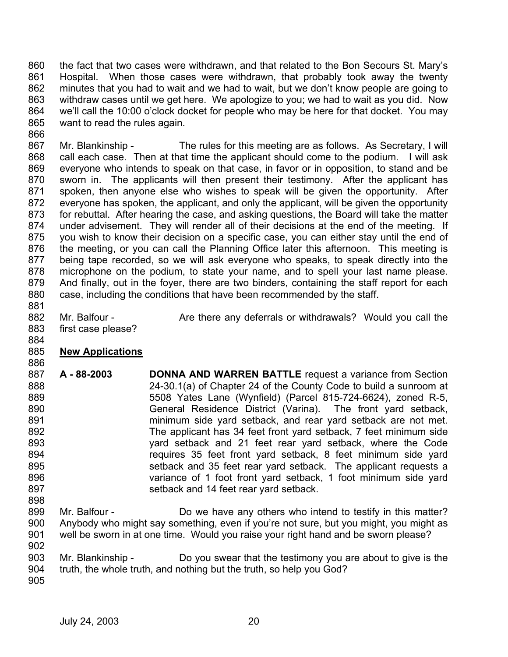860 861 862 863 864 865 the fact that two cases were withdrawn, and that related to the Bon Secours St. Mary's Hospital. When those cases were withdrawn, that probably took away the twenty minutes that you had to wait and we had to wait, but we don't know people are going to withdraw cases until we get here. We apologize to you; we had to wait as you did. Now we'll call the 10:00 o'clock docket for people who may be here for that docket. You may want to read the rules again.

867 868 869 870 871 872 873 874 875 876 877 878 879 880 881 Mr. Blankinship - The rules for this meeting are as follows. As Secretary, I will call each case. Then at that time the applicant should come to the podium. I will ask everyone who intends to speak on that case, in favor or in opposition, to stand and be sworn in. The applicants will then present their testimony. After the applicant has spoken, then anyone else who wishes to speak will be given the opportunity. After everyone has spoken, the applicant, and only the applicant, will be given the opportunity for rebuttal. After hearing the case, and asking questions, the Board will take the matter under advisement. They will render all of their decisions at the end of the meeting. If you wish to know their decision on a specific case, you can either stay until the end of the meeting, or you can call the Planning Office later this afternoon. This meeting is being tape recorded, so we will ask everyone who speaks, to speak directly into the microphone on the podium, to state your name, and to spell your last name please. And finally, out in the foyer, there are two binders, containing the staff report for each case, including the conditions that have been recommended by the staff.

- 882 883 Mr. Balfour - Are there any deferrals or withdrawals? Would you call the first case please?
- 885 **New Applications**

866

- 886 887 888 889 890 891 892 893 894 895 896 897 898 **A - 88-2003 DONNA AND WARREN BATTLE** request a variance from Section 24-30.1(a) of Chapter 24 of the County Code to build a sunroom at 5508 Yates Lane (Wynfield) (Parcel 815-724-6624), zoned R-5, General Residence District (Varina). The front yard setback, minimum side yard setback, and rear yard setback are not met. The applicant has 34 feet front yard setback, 7 feet minimum side yard setback and 21 feet rear yard setback, where the Code requires 35 feet front yard setback, 8 feet minimum side yard setback and 35 feet rear yard setback. The applicant requests a variance of 1 foot front yard setback, 1 foot minimum side yard setback and 14 feet rear yard setback.
- 899 900 901 Mr. Balfour - **Do we have any others who intend to testify in this matter?** Anybody who might say something, even if you're not sure, but you might, you might as well be sworn in at one time. Would you raise your right hand and be sworn please?
- 902 903 904 Mr. Blankinship - Do you swear that the testimony you are about to give is the
- 905 truth, the whole truth, and nothing but the truth, so help you God?
	- July 24, 2003 20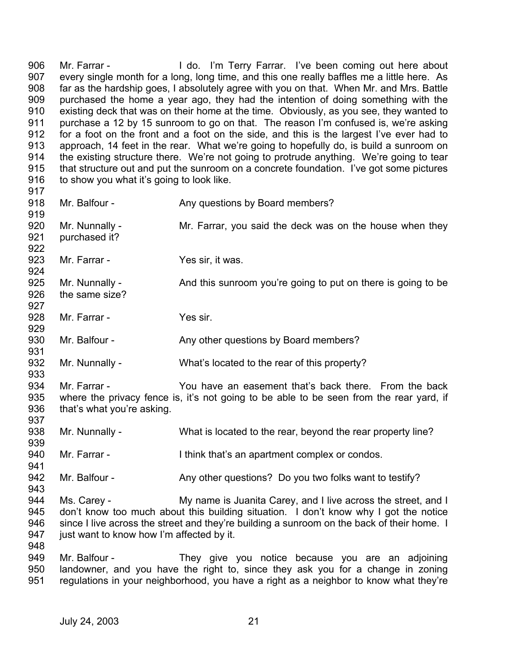906 907 908 909 910 911 912 913 914 915 916 917 Mr. Farrar - The Music Hido. I'm Terry Farrar. I've been coming out here about every single month for a long, long time, and this one really baffles me a little here. As far as the hardship goes, I absolutely agree with you on that. When Mr. and Mrs. Battle purchased the home a year ago, they had the intention of doing something with the existing deck that was on their home at the time. Obviously, as you see, they wanted to purchase a 12 by 15 sunroom to go on that. The reason I'm confused is, we're asking for a foot on the front and a foot on the side, and this is the largest I've ever had to approach, 14 feet in the rear. What we're going to hopefully do, is build a sunroom on the existing structure there. We're not going to protrude anything. We're going to tear that structure out and put the sunroom on a concrete foundation. I've got some pictures to show you what it's going to look like.

918 919 920 921 922 923 924 925 926 927 928 929 930 931 932 933 934 935 936 937 938 939 940 941 942 943 944 945 946 947 948 949 950 951 Mr. Balfour - Any questions by Board members? Mr. Nunnally - Mr. Farrar, you said the deck was on the house when they purchased it? Mr. Farrar - Yes sir, it was. Mr. Nunnally - And this sunroom you're going to put on there is going to be the same size? Mr. Farrar - Yes sir. Mr. Balfour - Any other questions by Board members? Mr. Nunnally - What's located to the rear of this property? Mr. Farrar - You have an easement that's back there. From the back where the privacy fence is, it's not going to be able to be seen from the rear yard, if that's what you're asking. Mr. Nunnally - What is located to the rear, beyond the rear property line? Mr. Farrar - I think that's an apartment complex or condos. Mr. Balfour - Any other questions? Do you two folks want to testify? Ms. Carey - My name is Juanita Carey, and I live across the street, and I don't know too much about this building situation. I don't know why I got the notice since I live across the street and they're building a sunroom on the back of their home. I just want to know how I'm affected by it. Mr. Balfour - They give you notice because you are an adjoining landowner, and you have the right to, since they ask you for a change in zoning regulations in your neighborhood, you have a right as a neighbor to know what they're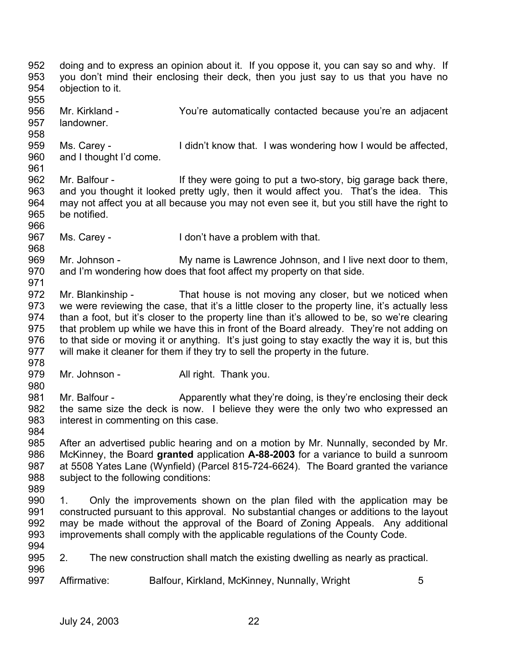952 953 954 955 956 957 958 959 960 961 962 963 964 965 966 967 968 969 970 971 972 973 974 975 976 977 978 979 980 981 982 983 984 985 986 987 988 989 990 991 992 993 994 995 996 997 doing and to express an opinion about it. If you oppose it, you can say so and why. If you don't mind their enclosing their deck, then you just say to us that you have no objection to it. Mr. Kirkland - You're automatically contacted because you're an adjacent landowner. Ms. Carey - I didn't know that. I was wondering how I would be affected, and I thought I'd come. Mr. Balfour - If they were going to put a two-story, big garage back there, and you thought it looked pretty ugly, then it would affect you. That's the idea. This may not affect you at all because you may not even see it, but you still have the right to be notified. Ms. Carey - I don't have a problem with that. Mr. Johnson - My name is Lawrence Johnson, and I live next door to them, and I'm wondering how does that foot affect my property on that side. Mr. Blankinship - That house is not moving any closer, but we noticed when we were reviewing the case, that it's a little closer to the property line, it's actually less than a foot, but it's closer to the property line than it's allowed to be, so we're clearing that problem up while we have this in front of the Board already. They're not adding on to that side or moving it or anything. It's just going to stay exactly the way it is, but this will make it cleaner for them if they try to sell the property in the future. Mr. Johnson - **All right. Thank you.** Mr. Balfour - Apparently what they're doing, is they're enclosing their deck the same size the deck is now. I believe they were the only two who expressed an interest in commenting on this case. After an advertised public hearing and on a motion by Mr. Nunnally, seconded by Mr. McKinney, the Board **granted** application **A-88-2003** for a variance to build a sunroom at 5508 Yates Lane (Wynfield) (Parcel 815-724-6624). The Board granted the variance subject to the following conditions: 1. Only the improvements shown on the plan filed with the application may be constructed pursuant to this approval. No substantial changes or additions to the layout may be made without the approval of the Board of Zoning Appeals. Any additional improvements shall comply with the applicable regulations of the County Code. 2. The new construction shall match the existing dwelling as nearly as practical. Affirmative: Balfour, Kirkland, McKinney, Nunnally, Wright 5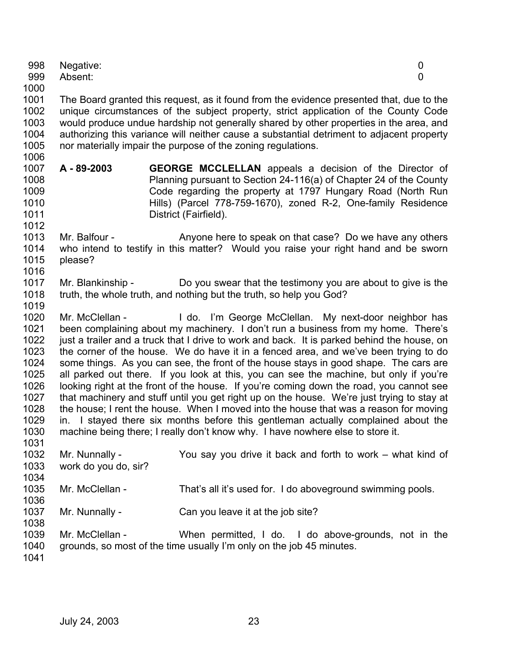| 999  | Absent:       |                                                                                           | O |
|------|---------------|-------------------------------------------------------------------------------------------|---|
| 1000 |               |                                                                                           |   |
| 1001 |               | The Board granted this request, as it found from the evidence presented that, due to the  |   |
| 1002 |               | unique circumstances of the subject property, strict application of the County Code       |   |
| 1003 |               | would produce undue hardship not generally shared by other properties in the area, and    |   |
| 1004 |               | authorizing this variance will neither cause a substantial detriment to adjacent property |   |
| 1005 |               | nor materially impair the purpose of the zoning regulations.                              |   |
| 1006 |               |                                                                                           |   |
| 1007 | A-89-2003     | <b>GEORGE MCCLELLAN</b> appeals a decision of the Director of                             |   |
| 1008 |               | Planning pursuant to Section 24-116(a) of Chapter 24 of the County                        |   |
| 1009 |               | Code regarding the property at 1797 Hungary Road (North Run                               |   |
| 1010 |               | Hills) (Parcel 778-759-1670), zoned R-2, One-family Residence                             |   |
| 1011 |               | District (Fairfield).                                                                     |   |
| 1012 |               |                                                                                           |   |
| 1013 | Mr. Balfour - | Anyone here to speak on that case? Do we have any others                                  |   |
| 1014 |               | who intend to testify in this matter? Would you raise your right hand and be sworn        |   |
| 1015 | please?       |                                                                                           |   |
| 1016 |               |                                                                                           |   |

Negative: 0

- 1017 1018 Mr. Blankinship - Do you swear that the testimony you are about to give is the truth, the whole truth, and nothing but the truth, so help you God?
- 1019

998

1020 1021 1022 1023 1024 1025 1026 1027 1028 1029 1030 1031 Mr. McClellan - I do. I'm George McClellan. My next-door neighbor has been complaining about my machinery. I don't run a business from my home. There's just a trailer and a truck that I drive to work and back. It is parked behind the house, on the corner of the house. We do have it in a fenced area, and we've been trying to do some things. As you can see, the front of the house stays in good shape. The cars are all parked out there. If you look at this, you can see the machine, but only if you're looking right at the front of the house. If you're coming down the road, you cannot see that machinery and stuff until you get right up on the house. We're just trying to stay at the house; I rent the house. When I moved into the house that was a reason for moving in. I stayed there six months before this gentleman actually complained about the machine being there; I really don't know why. I have nowhere else to store it.

1032 1033 1034 1035 1036 1037 1038 1039 1040 1041 Mr. Nunnally - You say you drive it back and forth to work – what kind of work do you do, sir? Mr. McClellan - That's all it's used for. I do aboveground swimming pools. Mr. Nunnally - Can you leave it at the job site? Mr. McClellan - When permitted, I do. I do above-grounds, not in the grounds, so most of the time usually I'm only on the job 45 minutes.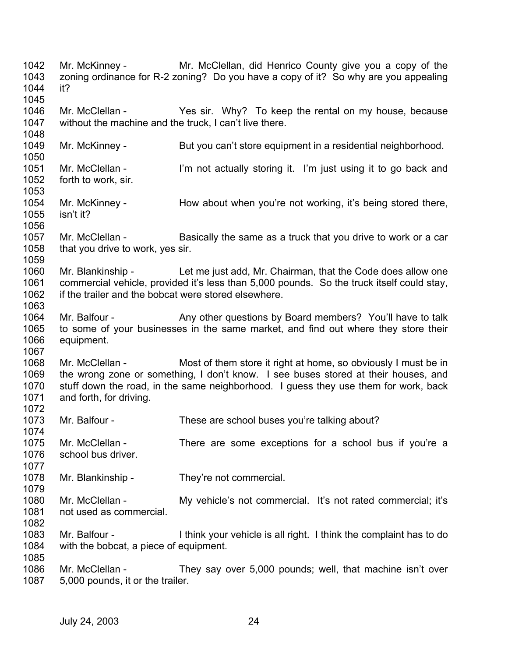1042 1043 1044 1045 1046 1047 1048 1049 1050 1051 1052 1053 1054 1055 1056 1057 1058 1059 1060 1061 1062 1063 1064 1065 1066 1067 1068 1069 1070 1071 1072 1073 1074 1075 1076 1077 1078 1079 1080 1081 1082 1083 1084 1085 1086 1087 Mr. McKinney - Mr. McClellan, did Henrico County give you a copy of the zoning ordinance for R-2 zoning? Do you have a copy of it? So why are you appealing it? Mr. McClellan - Yes sir. Why? To keep the rental on my house, because without the machine and the truck, I can't live there. Mr. McKinney - But you can't store equipment in a residential neighborhood. Mr. McClellan - I'm not actually storing it. I'm just using it to go back and forth to work, sir. Mr. McKinney - Thow about when you're not working, it's being stored there, isn't it? Mr. McClellan - Basically the same as a truck that you drive to work or a car that you drive to work, yes sir. Mr. Blankinship - Let me just add, Mr. Chairman, that the Code does allow one commercial vehicle, provided it's less than 5,000 pounds. So the truck itself could stay, if the trailer and the bobcat were stored elsewhere. Mr. Balfour - Any other questions by Board members? You'll have to talk to some of your businesses in the same market, and find out where they store their equipment. Mr. McClellan - Most of them store it right at home, so obviously I must be in the wrong zone or something, I don't know. I see buses stored at their houses, and stuff down the road, in the same neighborhood. I guess they use them for work, back and forth, for driving. Mr. Balfour - These are school buses you're talking about? Mr. McClellan - There are some exceptions for a school bus if you're a school bus driver. Mr. Blankinship - They're not commercial. Mr. McClellan - My vehicle's not commercial. It's not rated commercial; it's not used as commercial. Mr. Balfour - I think your vehicle is all right. I think the complaint has to do with the bobcat, a piece of equipment. Mr. McClellan - They say over 5,000 pounds; well, that machine isn't over 5,000 pounds, it or the trailer.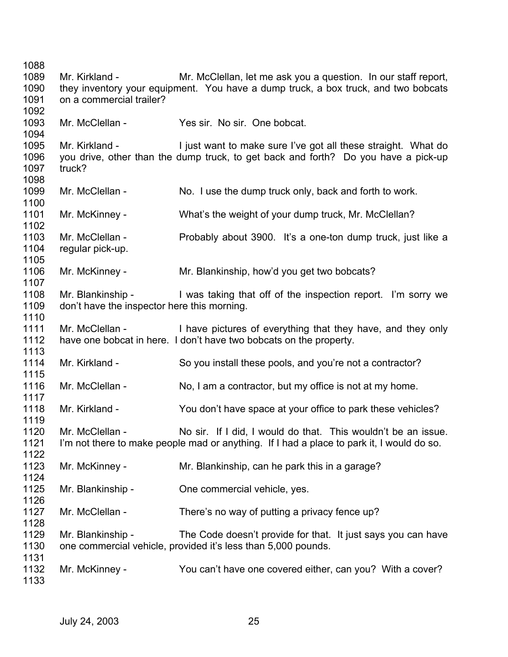Mr. Kirkland - Mr. McClellan, let me ask you a question. In our staff report, they inventory your equipment. You have a dump truck, a box truck, and two bobcats on a commercial trailer? Mr. McClellan - Yes sir. No sir. One bobcat. Mr. Kirkland - I just want to make sure I've got all these straight. What do you drive, other than the dump truck, to get back and forth? Do you have a pick-up truck? Mr. McClellan - No. I use the dump truck only, back and forth to work. Mr. McKinney - What's the weight of your dump truck, Mr. McClellan? Mr. McClellan - Probably about 3900. It's a one-ton dump truck, just like a regular pick-up. Mr. McKinney - Mr. Blankinship, how'd you get two bobcats? Mr. Blankinship - I was taking that off of the inspection report. I'm sorry we don't have the inspector here this morning. Mr. McClellan - I have pictures of everything that they have, and they only have one bobcat in here. I don't have two bobcats on the property. Mr. Kirkland - So you install these pools, and you're not a contractor? Mr. McClellan - No, I am a contractor, but my office is not at my home. Mr. Kirkland - You don't have space at your office to park these vehicles? Mr. McClellan - No sir. If I did, I would do that. This wouldn't be an issue. I'm not there to make people mad or anything. If I had a place to park it, I would do so. Mr. McKinney - Mr. Blankinship, can he park this in a garage? Mr. Blankinship - One commercial vehicle, yes. Mr. McClellan - There's no way of putting a privacy fence up? Mr. Blankinship - The Code doesn't provide for that. It just says you can have one commercial vehicle, provided it's less than 5,000 pounds. Mr. McKinney - You can't have one covered either, can you? With a cover?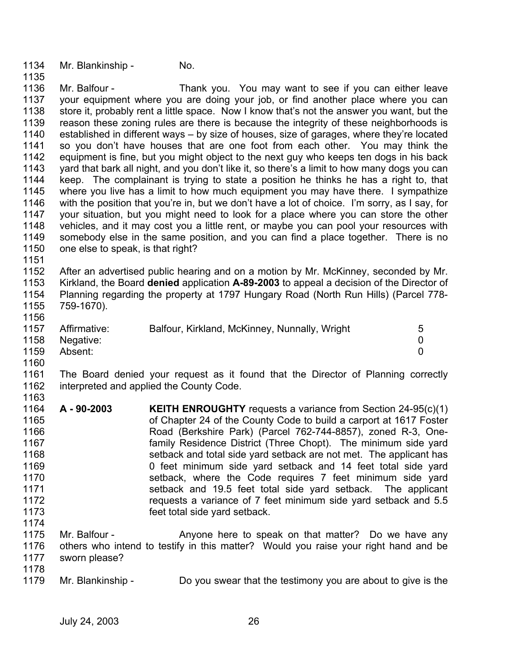1134 1135 Mr. Blankinship - No.

1136 1137 1138 1139 1140 1141 1142 1143 1144 1145 1146 1147 1148 1149 1150 Mr. Balfour - Thank you. You may want to see if you can either leave your equipment where you are doing your job, or find another place where you can store it, probably rent a little space. Now I know that's not the answer you want, but the reason these zoning rules are there is because the integrity of these neighborhoods is established in different ways – by size of houses, size of garages, where they're located so you don't have houses that are one foot from each other. You may think the equipment is fine, but you might object to the next guy who keeps ten dogs in his back yard that bark all night, and you don't like it, so there's a limit to how many dogs you can keep. The complainant is trying to state a position he thinks he has a right to, that where you live has a limit to how much equipment you may have there. I sympathize with the position that you're in, but we don't have a lot of choice. I'm sorry, as I say, for your situation, but you might need to look for a place where you can store the other vehicles, and it may cost you a little rent, or maybe you can pool your resources with somebody else in the same position, and you can find a place together. There is no one else to speak, is that right?

1151

1152 1153 1154 1155 After an advertised public hearing and on a motion by Mr. McKinney, seconded by Mr. Kirkland, the Board **denied** application **A-89-2003** to appeal a decision of the Director of Planning regarding the property at 1797 Hungary Road (North Run Hills) (Parcel 778- 759-1670).

1156

| 1157 | Affirmative: | Balfour, Kirkland, McKinney, Nunnally, Wright | 5 |
|------|--------------|-----------------------------------------------|---|
| 1158 | Negative:    |                                               |   |
| 1159 | Absent:      |                                               |   |
| 1160 |              |                                               |   |

1161 1162 1163 The Board denied your request as it found that the Director of Planning correctly interpreted and applied the County Code.

- 1164 1165 1166 1167 1168 1169 1170 1171 1172 1173 1174 **A - 90-2003 KEITH ENROUGHTY** requests a variance from Section 24-95(c)(1) of Chapter 24 of the County Code to build a carport at 1617 Foster Road (Berkshire Park) (Parcel 762-744-8857), zoned R-3, Onefamily Residence District (Three Chopt). The minimum side yard setback and total side yard setback are not met. The applicant has 0 feet minimum side yard setback and 14 feet total side yard setback, where the Code requires 7 feet minimum side yard setback and 19.5 feet total side yard setback. The applicant requests a variance of 7 feet minimum side yard setback and 5.5 feet total side yard setback.
- 1175 1176 1177 Mr. Balfour - Anyone here to speak on that matter? Do we have any others who intend to testify in this matter? Would you raise your right hand and be sworn please?
- 1178
- 1179 Mr. Blankinship - Do you swear that the testimony you are about to give is the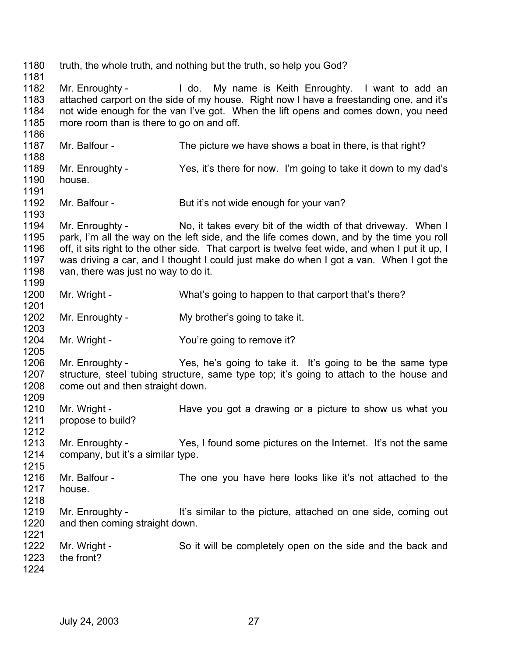1180 1181 1182 1183 1184 1185 1186 1187 1188 1189 1190 1191 1192 1193 1194 1195 1196 1197 1198 1199 1200 1201 1202 1203 1204 1205 1206 1207 1208 1209 1210 1211 1212 1213 1214 1215 1216 1217 1218 1219 1220 1221 1222 1223 1224 truth, the whole truth, and nothing but the truth, so help you God? Mr. Enroughty - I do. My name is Keith Enroughty. I want to add an attached carport on the side of my house. Right now I have a freestanding one, and it's not wide enough for the van I've got. When the lift opens and comes down, you need more room than is there to go on and off. Mr. Balfour - The picture we have shows a boat in there, is that right? Mr. Enroughty - Yes, it's there for now. I'm going to take it down to my dad's house. Mr. Balfour - But it's not wide enough for your van? Mr. Enroughty - No, it takes every bit of the width of that driveway. When I park, I'm all the way on the left side, and the life comes down, and by the time you roll off, it sits right to the other side. That carport is twelve feet wide, and when I put it up, I was driving a car, and I thought I could just make do when I got a van. When I got the van, there was just no way to do it. Mr. Wright - What's going to happen to that carport that's there? Mr. Enroughty - My brother's going to take it. Mr. Wright - The You're going to remove it? Mr. Enroughty - Yes, he's going to take it. It's going to be the same type structure, steel tubing structure, same type top; it's going to attach to the house and come out and then straight down. Mr. Wright - Have you got a drawing or a picture to show us what you propose to build? Mr. Enroughty - Yes, I found some pictures on the Internet. It's not the same company, but it's a similar type. Mr. Balfour - The one you have here looks like it's not attached to the house. Mr. Enroughty - It's similar to the picture, attached on one side, coming out and then coming straight down. Mr. Wright - So it will be completely open on the side and the back and the front?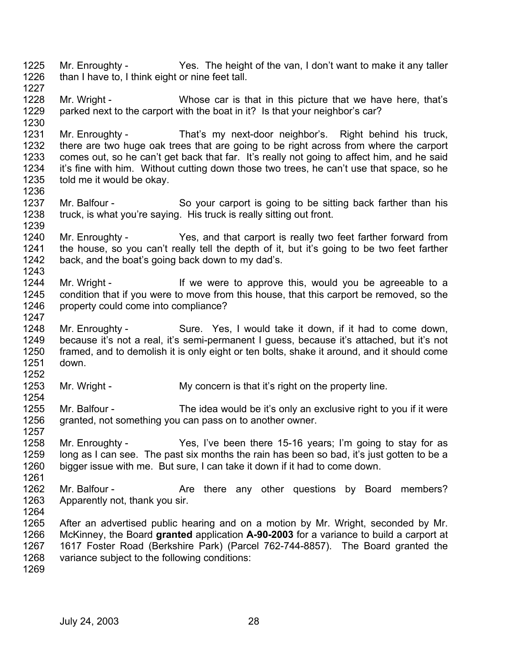- 1225 1226 1227 Mr. Enroughty - Yes. The height of the van, I don't want to make it any taller than I have to, I think eight or nine feet tall.
- 1228 1229 Mr. Wright - Whose car is that in this picture that we have here, that's parked next to the carport with the boat in it? Is that your neighbor's car?
- 1231 1232 1233 1234 1235 Mr. Enroughty - That's my next-door neighbor's. Right behind his truck, there are two huge oak trees that are going to be right across from where the carport comes out, so he can't get back that far. It's really not going to affect him, and he said it's fine with him. Without cutting down those two trees, he can't use that space, so he told me it would be okay.
- 1237 1238 1239 Mr. Balfour - So your carport is going to be sitting back farther than his truck, is what you're saying. His truck is really sitting out front.
- 1240 1241 1242 1243 Mr. Enroughty - Yes, and that carport is really two feet farther forward from the house, so you can't really tell the depth of it, but it's going to be two feet farther back, and the boat's going back down to my dad's.
- 1244 1245 1246 Mr. Wright - The Mr is the were to approve this, would you be agreeable to a condition that if you were to move from this house, that this carport be removed, so the property could come into compliance?
- 1248 1249 1250 1251 1252 Mr. Enroughty - Sure. Yes, I would take it down, if it had to come down, because it's not a real, it's semi-permanent I guess, because it's attached, but it's not framed, and to demolish it is only eight or ten bolts, shake it around, and it should come down.
- 1253 1254 Mr. Wright - My concern is that it's right on the property line.
- 1255 1256 Mr. Balfour - The idea would be it's only an exclusive right to you if it were granted, not something you can pass on to another owner.
- 1258 1259 1260 Mr. Enroughty - Yes, I've been there 15-16 years; I'm going to stay for as long as I can see. The past six months the rain has been so bad, it's just gotten to be a bigger issue with me. But sure, I can take it down if it had to come down.
- 1262 1263 Mr. Balfour - The Are there any other questions by Board members? Apparently not, thank you sir.
- 1264 1265
	- 1266 1267 1268 After an advertised public hearing and on a motion by Mr. Wright, seconded by Mr. McKinney, the Board **granted** application **A-90-2003** for a variance to build a carport at 1617 Foster Road (Berkshire Park) (Parcel 762-744-8857). The Board granted the variance subject to the following conditions:
	- 1269

1230

1236

1247

1257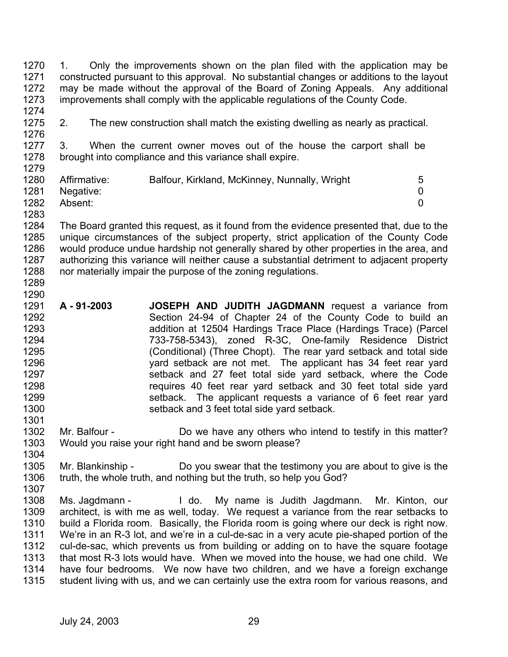1270 1271 1272 1273 1. Only the improvements shown on the plan filed with the application may be constructed pursuant to this approval. No substantial changes or additions to the layout may be made without the approval of the Board of Zoning Appeals. Any additional improvements shall comply with the applicable regulations of the County Code.

- 1274
- 1275 1276 2. The new construction shall match the existing dwelling as nearly as practical.

1277 1278 1279 3. When the current owner moves out of the house the carport shall be brought into compliance and this variance shall expire.

| 1280 | Affirmative: | Balfour, Kirkland, McKinney, Nunnally, Wright | 5 |
|------|--------------|-----------------------------------------------|---|
| 1281 | Negative:    |                                               |   |
| 1282 | Absent:      |                                               |   |

1283

1284 1285 1286 1287 1288 The Board granted this request, as it found from the evidence presented that, due to the unique circumstances of the subject property, strict application of the County Code would produce undue hardship not generally shared by other properties in the area, and authorizing this variance will neither cause a substantial detriment to adjacent property nor materially impair the purpose of the zoning regulations.

- 1289 1290
- 1291 1292 1293 1294 1295 1296 1297 1298 1299 1300 1301 **A - 91-2003 JOSEPH AND JUDITH JAGDMANN** request a variance from Section 24-94 of Chapter 24 of the County Code to build an addition at 12504 Hardings Trace Place (Hardings Trace) (Parcel 733-758-5343), zoned R-3C, One-family Residence District (Conditional) (Three Chopt). The rear yard setback and total side yard setback are not met. The applicant has 34 feet rear yard setback and 27 feet total side yard setback, where the Code requires 40 feet rear yard setback and 30 feet total side yard setback. The applicant requests a variance of 6 feet rear yard setback and 3 feet total side yard setback.
- 1302 1303 1304 Mr. Balfour - **Do** we have any others who intend to testify in this matter? Would you raise your right hand and be sworn please?
- 1305 1306 1307 Mr. Blankinship - Do you swear that the testimony you are about to give is the truth, the whole truth, and nothing but the truth, so help you God?
- 1308 1309 1310 1311 1312 1313 1314 1315 Ms. Jagdmann - I do. My name is Judith Jagdmann. Mr. Kinton, our architect, is with me as well, today. We request a variance from the rear setbacks to build a Florida room. Basically, the Florida room is going where our deck is right now. We're in an R-3 lot, and we're in a cul-de-sac in a very acute pie-shaped portion of the cul-de-sac, which prevents us from building or adding on to have the square footage that most R-3 lots would have. When we moved into the house, we had one child. We have four bedrooms. We now have two children, and we have a foreign exchange student living with us, and we can certainly use the extra room for various reasons, and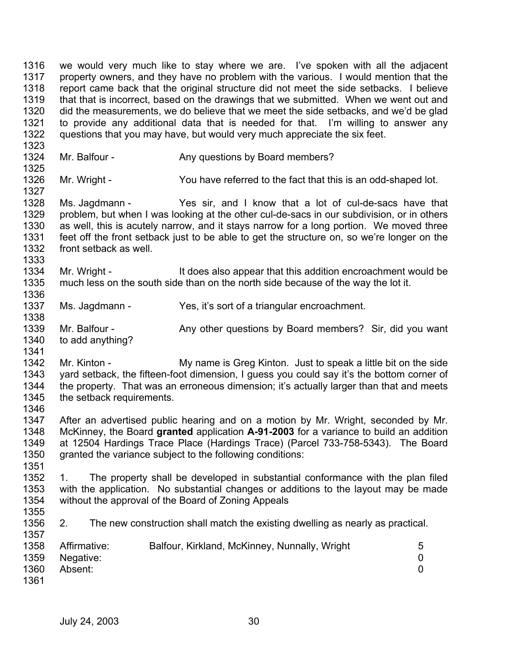1316 1317 1318 1319 1320 1321 1322 1323 1324 1325 1326 1327 1328 1329 1330 1331 1332 1333 1334 1335 1336 1337 1338 1339 1340 1341 1342 1343 1344 1345 1346 1347 1348 1349 1350 1351 1352 1353 1354 1355 1356 1357 1358 1359 1360 1361 we would very much like to stay where we are. I've spoken with all the adjacent property owners, and they have no problem with the various. I would mention that the report came back that the original structure did not meet the side setbacks. I believe that that is incorrect, based on the drawings that we submitted. When we went out and did the measurements, we do believe that we meet the side setbacks, and we'd be glad to provide any additional data that is needed for that. I'm willing to answer any questions that you may have, but would very much appreciate the six feet. Mr. Balfour - Any questions by Board members? Mr. Wright - You have referred to the fact that this is an odd-shaped lot. Ms. Jagdmann - Yes sir, and I know that a lot of cul-de-sacs have that problem, but when I was looking at the other cul-de-sacs in our subdivision, or in others as well, this is acutely narrow, and it stays narrow for a long portion. We moved three feet off the front setback just to be able to get the structure on, so we're longer on the front setback as well. Mr. Wright - It does also appear that this addition encroachment would be much less on the south side than on the north side because of the way the lot it. Ms. Jagdmann - Yes, it's sort of a triangular encroachment. Mr. Balfour - Any other questions by Board members? Sir, did you want to add anything? Mr. Kinton - My name is Greg Kinton. Just to speak a little bit on the side yard setback, the fifteen-foot dimension, I guess you could say it's the bottom corner of the property. That was an erroneous dimension; it's actually larger than that and meets the setback requirements. After an advertised public hearing and on a motion by Mr. Wright, seconded by Mr. McKinney, the Board **granted** application **A-91-2003** for a variance to build an addition at 12504 Hardings Trace Place (Hardings Trace) (Parcel 733-758-5343). The Board granted the variance subject to the following conditions: 1. The property shall be developed in substantial conformance with the plan filed with the application. No substantial changes or additions to the layout may be made without the approval of the Board of Zoning Appeals 2. The new construction shall match the existing dwelling as nearly as practical. Affirmative: Balfour, Kirkland, McKinney, Nunnally, Wright 5 Negative: 0 Absent: 0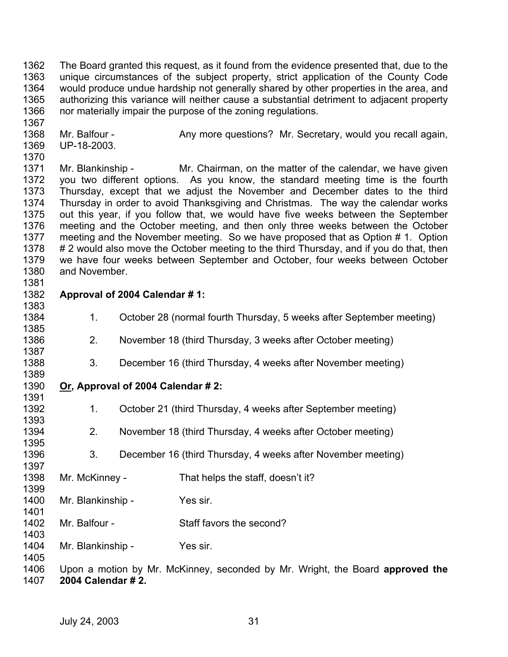1362 1363 1364 1365 1366 The Board granted this request, as it found from the evidence presented that, due to the unique circumstances of the subject property, strict application of the County Code would produce undue hardship not generally shared by other properties in the area, and authorizing this variance will neither cause a substantial detriment to adjacent property nor materially impair the purpose of the zoning regulations.

1368 1369 Mr. Balfour - Any more questions? Mr. Secretary, would you recall again, UP-18-2003.

1371 1372 1373 1374 1375 1376 1377 1378 1379 1380 1381 Mr. Blankinship - Mr. Chairman, on the matter of the calendar, we have given you two different options. As you know, the standard meeting time is the fourth Thursday, except that we adjust the November and December dates to the third Thursday in order to avoid Thanksgiving and Christmas. The way the calendar works out this year, if you follow that, we would have five weeks between the September meeting and the October meeting, and then only three weeks between the October meeting and the November meeting. So we have proposed that as Option # 1. Option # 2 would also move the October meeting to the third Thursday, and if you do that, then we have four weeks between September and October, four weeks between October and November.

1382 **Approval of 2004 Calendar # 1:** 

1367

1370

1383

1389

1391

1397

1403

1405

- 1384 1385 1386 1. October 28 (normal fourth Thursday, 5 weeks after September meeting) 2. November 18 (third Thursday, 3 weeks after October meeting)
- 1387 1388 3. December 16 (third Thursday, 4 weeks after November meeting)
- 1390 **Or, Approval of 2004 Calendar # 2:**
- 1392 1393 1394 1395 1. October 21 (third Thursday, 4 weeks after September meeting) 2. November 18 (third Thursday, 4 weeks after October meeting)
- 1396 3. December 16 (third Thursday, 4 weeks after November meeting)

1398 1399 Mr. McKinney - That helps the staff, doesn't it?

1400 1401 Mr. Blankinship - Yes sir.

1402 Mr. Balfour - Staff favors the second?

1404 Mr. Blankinship - Yes sir.

1406 1407 Upon a motion by Mr. McKinney, seconded by Mr. Wright, the Board **approved the 2004 Calendar # 2.**